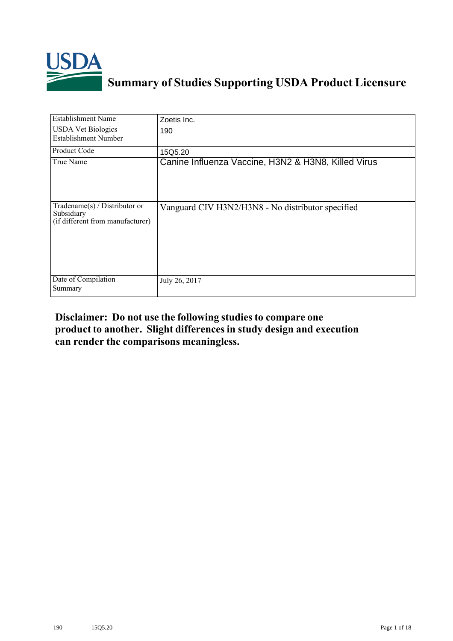

# **Summary of Studies Supporting USDA Product Licensure**

| <b>Establishment Name</b>                                                          | Zoetis Inc.                                         |
|------------------------------------------------------------------------------------|-----------------------------------------------------|
| <b>USDA Vet Biologics</b><br><b>Establishment Number</b>                           | 190                                                 |
| Product Code                                                                       | 15Q5.20                                             |
| True Name                                                                          | Canine Influenza Vaccine, H3N2 & H3N8, Killed Virus |
| Tradename $(s)$ / Distributor or<br>Subsidiary<br>(if different from manufacturer) | Vanguard CIV H3N2/H3N8 - No distributor specified   |
| Date of Compilation<br>Summary                                                     | July 26, 2017                                       |

## **Disclaimer: Do not use the following studiesto compare one product to another. Slight differencesin study design and execution can render the comparisons meaningless.**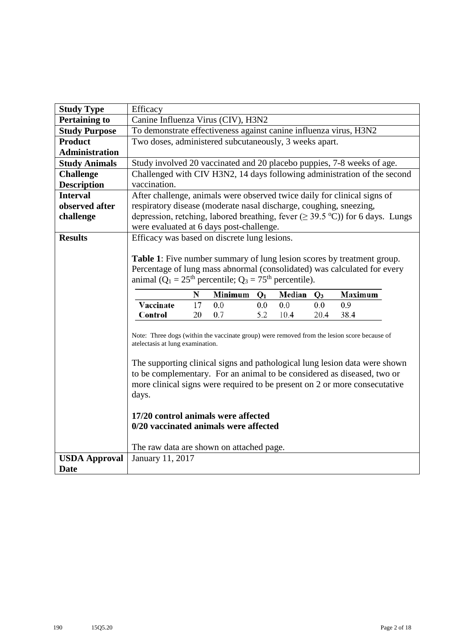| <b>Study Type</b>     | Efficacy                                                                                                                                           |    |                |       |        |       |                                                                                                                                                       |  |  |  |  |
|-----------------------|----------------------------------------------------------------------------------------------------------------------------------------------------|----|----------------|-------|--------|-------|-------------------------------------------------------------------------------------------------------------------------------------------------------|--|--|--|--|
| <b>Pertaining to</b>  | Canine Influenza Virus (CIV), H3N2                                                                                                                 |    |                |       |        |       |                                                                                                                                                       |  |  |  |  |
| <b>Study Purpose</b>  | To demonstrate effectiveness against canine influenza virus, H3N2                                                                                  |    |                |       |        |       |                                                                                                                                                       |  |  |  |  |
| <b>Product</b>        | Two doses, administered subcutaneously, 3 weeks apart.                                                                                             |    |                |       |        |       |                                                                                                                                                       |  |  |  |  |
| <b>Administration</b> |                                                                                                                                                    |    |                |       |        |       |                                                                                                                                                       |  |  |  |  |
| <b>Study Animals</b>  |                                                                                                                                                    |    |                |       |        |       | Study involved 20 vaccinated and 20 placebo puppies, 7-8 weeks of age.                                                                                |  |  |  |  |
| <b>Challenge</b>      |                                                                                                                                                    |    |                |       |        |       | Challenged with CIV H3N2, 14 days following administration of the second                                                                              |  |  |  |  |
| <b>Description</b>    | vaccination.                                                                                                                                       |    |                |       |        |       |                                                                                                                                                       |  |  |  |  |
| <b>Interval</b>       |                                                                                                                                                    |    |                |       |        |       | After challenge, animals were observed twice daily for clinical signs of                                                                              |  |  |  |  |
| observed after        | respiratory disease (moderate nasal discharge, coughing, sneezing,                                                                                 |    |                |       |        |       |                                                                                                                                                       |  |  |  |  |
| challenge             |                                                                                                                                                    |    |                |       |        |       | depression, retching, labored breathing, fever $(\geq 39.5 \text{ °C})$ for 6 days. Lungs                                                             |  |  |  |  |
|                       | were evaluated at 6 days post-challenge.                                                                                                           |    |                |       |        |       |                                                                                                                                                       |  |  |  |  |
| <b>Results</b>        | Efficacy was based on discrete lung lesions.                                                                                                       |    |                |       |        |       |                                                                                                                                                       |  |  |  |  |
|                       |                                                                                                                                                    |    |                |       |        |       |                                                                                                                                                       |  |  |  |  |
|                       | Table 1: Five number summary of lung lesion scores by treatment group.<br>Percentage of lung mass abnormal (consolidated) was calculated for every |    |                |       |        |       |                                                                                                                                                       |  |  |  |  |
|                       |                                                                                                                                                    |    |                |       |        |       |                                                                                                                                                       |  |  |  |  |
|                       | animal ( $Q_1 = 25th$ percentile; $Q_3 = 75th$ percentile).                                                                                        |    |                |       |        |       |                                                                                                                                                       |  |  |  |  |
|                       |                                                                                                                                                    | N  | <b>Minimum</b> | $Q_1$ | Median | $Q_3$ | <b>Maximum</b>                                                                                                                                        |  |  |  |  |
|                       | Vaccinate                                                                                                                                          | 17 | 0.0            | 0.0   | 0.0    | 0.0   | 0.9                                                                                                                                                   |  |  |  |  |
|                       | Control                                                                                                                                            | 20 | 0.7            | 5.2   | 10.4   | 20.4  | 38.4                                                                                                                                                  |  |  |  |  |
|                       | Note: Three dogs (within the vaccinate group) were removed from the lesion score because of<br>atelectasis at lung examination.                    |    |                |       |        |       |                                                                                                                                                       |  |  |  |  |
|                       |                                                                                                                                                    |    |                |       |        |       |                                                                                                                                                       |  |  |  |  |
|                       |                                                                                                                                                    |    |                |       |        |       | The supporting clinical signs and pathological lung lesion data were shown<br>to be complementary. For an animal to be considered as diseased, two or |  |  |  |  |
|                       |                                                                                                                                                    |    |                |       |        |       | more clinical signs were required to be present on 2 or more consecutative                                                                            |  |  |  |  |
|                       | days.                                                                                                                                              |    |                |       |        |       |                                                                                                                                                       |  |  |  |  |
|                       |                                                                                                                                                    |    |                |       |        |       |                                                                                                                                                       |  |  |  |  |
|                       | 17/20 control animals were affected<br>0/20 vaccinated animals were affected                                                                       |    |                |       |        |       |                                                                                                                                                       |  |  |  |  |
|                       |                                                                                                                                                    |    |                |       |        |       |                                                                                                                                                       |  |  |  |  |
|                       | The raw data are shown on attached page.                                                                                                           |    |                |       |        |       |                                                                                                                                                       |  |  |  |  |
| <b>USDA Approval</b>  | January 11, 2017                                                                                                                                   |    |                |       |        |       |                                                                                                                                                       |  |  |  |  |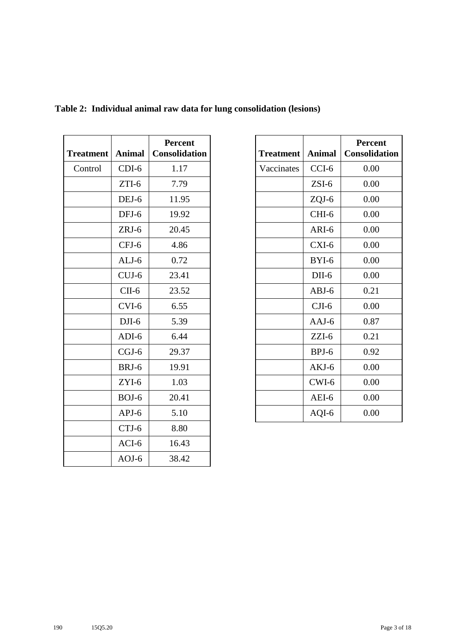| <b>Treatment</b> | <b>Animal</b> | <b>Percent</b><br><b>Consolidation</b> |
|------------------|---------------|----------------------------------------|
| Control          | $CDI-6$       | 1.17                                   |
|                  | $ZTI-6$       | 7.79                                   |
|                  | DEJ-6         | 11.95                                  |
|                  | DFJ-6         | 19.92                                  |
|                  | $ZRI-6$       | 20.45                                  |
|                  | CFJ-6         | 4.86                                   |
|                  | $ALJ-6$       | 0.72                                   |
|                  | $CUJ-6$       | 23.41                                  |
|                  | $CII-6$       | 23.52                                  |
|                  | CVI-6         | 6.55                                   |
|                  | $DJI-6$       | 5.39                                   |
|                  | $ADI-6$       | 6.44                                   |
|                  | $CGJ-6$       | 29.37                                  |
|                  | BRJ-6         | 19.91                                  |
|                  | ZYI-6         | 1.03                                   |
|                  | BOJ-6         | 20.41                                  |
|                  | $APJ-6$       | 5.10                                   |
|                  | CTJ-6         | 8.80                                   |
|                  | ACI-6         | 16.43                                  |
|                  | $AOJ-6$       | 38.42                                  |

## **Table 2: Individual animal raw data for lung consolidation (lesions)**

| <b>Treatment</b> | <b>Animal</b> | <b>Percent</b><br><b>Consolidation</b> |
|------------------|---------------|----------------------------------------|
| Vaccinates       | CCI-6         | 0.00                                   |
|                  | $ZSI-6$       | 0.00                                   |
|                  | $ZQJ-6$       | 0.00                                   |
|                  | CHI-6         | 0.00                                   |
|                  | ARI-6         | 0.00                                   |
|                  | $CXI-6$       | 0.00                                   |
|                  | BYI-6         | 0.00                                   |
|                  | $DII-6$       | 0.00                                   |
|                  | $ABJ-6$       | 0.21                                   |
|                  | $CJI-6$       | 0.00                                   |
|                  | $AAJ-6$       | 0.87                                   |
|                  | $ZZI-6$       | 0.21                                   |
|                  | BPJ-6         | 0.92                                   |
|                  | AKJ-6         | 0.00                                   |
|                  | $CWI-6$       | 0.00                                   |
|                  | AEI-6         | 0.00                                   |
|                  | AQI-6         | 0.00                                   |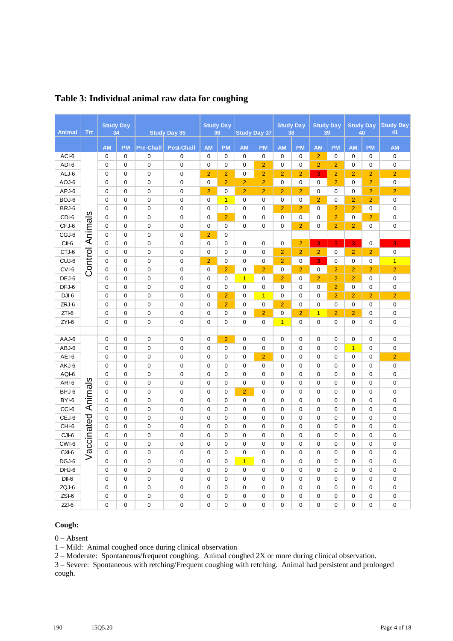| <b>Animal</b> | <b>Trt</b>             |             | <b>Study Day</b><br>34 |                  | <b>Study Day 35</b> |                | <b>Study Day</b><br>36 |                | <b>Study Day 37</b> |                | <b>Study Day</b><br>38 |                | <b>Study Day</b><br>39 |                | <b>Study Day</b><br>40 | <b>Study Day</b><br>41 |
|---------------|------------------------|-------------|------------------------|------------------|---------------------|----------------|------------------------|----------------|---------------------|----------------|------------------------|----------------|------------------------|----------------|------------------------|------------------------|
|               |                        | <b>AM</b>   | <b>PM</b>              | <b>Pre-Chall</b> | <b>Post-Chall</b>   | <b>AM</b>      | <b>PM</b>              | <b>AM</b>      | <b>PM</b>           | <b>AM</b>      | <b>PM</b>              | <b>AM</b>      | <b>PM</b>              | <b>AM</b>      | <b>PM</b>              | <b>AM</b>              |
| ACI-6         |                        | $\mathbf 0$ | 0                      | $\mathbf 0$      | $\mathbf 0$         | $\mathbf 0$    | 0                      | $\mathbf 0$    | $\mathbf 0$         | 0              | $\pmb{0}$              | $\overline{2}$ | $\mathbf 0$            | $\mathbf 0$    | $\mathbf 0$            | $\mathbf 0$            |
| ADI-6         |                        | 0           | $\mathbf 0$            | $\mathbf 0$      | $\mathbf 0$         | $\mathbf 0$    | 0                      | 0              | $\overline{2}$      | 0              | $\mathbf 0$            | $\overline{2}$ | $\overline{2}$         | 0              | $\mathbf 0$            | $\mathbf 0$            |
| ALJ-6         |                        | 0           | $\mathbf 0$            | $\mathbf 0$      | $\mathbf 0$         | $\overline{2}$ | $\overline{2}$         | $\mathbf 0$    | $\overline{2}$      | $\overline{2}$ | $\overline{2}$         | 3              | $\overline{2}$         | $\overline{2}$ | $\overline{2}$         | $\overline{2}$         |
| AOJ-6         |                        | $\mathbf 0$ | $\mathbf 0$            | $\mathbf 0$      | $\mathbf 0$         | $\mathbf 0$    | $\overline{2}$         | $\overline{2}$ | $\overline{2}$      | 0              | $\mathbf 0$            | $\mathbf 0$    | $\overline{2}$         | $\mathbf 0$    | $\overline{2}$         | $\mathbf 0$            |
| APJ-6         |                        | 0           | $\mathbf 0$            | $\mathbf 0$      | $\mathbf 0$         | $\overline{2}$ | 0                      | $\overline{2}$ | $\overline{2}$      | $\overline{2}$ | $\overline{2}$         | $\mathbf 0$    | 0                      | 0              | $\overline{2}$         | $\overline{2}$         |
| BOJ-6         |                        | 0           | 0                      | 0                | 0                   | 0              | $\overline{1}$         | 0              | 0                   | 0              | 0                      | $\overline{2}$ | 0                      | $\overline{2}$ | $\overline{2}$         | $\mathbf 0$            |
| BRJ-6         |                        | 0           | $\mathbf 0$            | $\mathbf 0$      | $\mathbf 0$         | 0              | 0                      | $\mathbf 0$    | $\mathbf 0$         | $\overline{2}$ | $\overline{2}$         | $\mathbf 0$    | $\overline{2}$         | $\overline{2}$ | 0                      | $\mathbf 0$            |
| CDI-6         | <b>Control Animals</b> | $\mathbf 0$ | $\mathbf 0$            | $\mathbf 0$      | $\mathbf 0$         | $\mathbf 0$    | $\overline{2}$         | $\mathbf 0$    | $\overline{0}$      | $\overline{0}$ | $\mathbf 0$            | $\overline{0}$ | $\overline{2}$         | $\mathbf 0$    | $\overline{2}$         | $\mathbf 0$            |
| CFJ-6         |                        | $\mathbf 0$ | $\mathbf 0$            | 0                | $\mathbf 0$         | $\mathbf 0$    | 0                      | $\mathbf 0$    | $\mathbf 0$         | 0              | $\overline{2}$         | $\mathbf 0$    | $\overline{2}$         | $\overline{2}$ | $\mathbf 0$            | $\boldsymbol{0}$       |
| CGJ-6         |                        | 0           | $\mathbf 0$            | $\mathbf 0$      | $\mathbf 0$         | $\overline{2}$ | $\mathbf 0$            |                |                     |                |                        |                |                        |                |                        |                        |
| CII-6         |                        | 0           | $\mathbf 0$            | 0                | $\mathbf 0$         | 0              | 0                      | 0              | $\mathbf 0$         | 0              | $\overline{2}$         | 3              | 3                      | 3 <sub>1</sub> | $\mathbf 0$            | 3                      |
| CTJ-6         |                        | $\Omega$    | $\mathbf 0$            | $\mathbf 0$      | $\mathbf 0$         | $\mathbf 0$    | $\mathbf 0$            | $\mathbf 0$    | $\mathbf 0$         | $\overline{2}$ | $\overline{2}$         | $\overline{2}$ | 0                      | $\overline{2}$ | $\overline{2}$         | $\mathbf 0$            |
| CUJ-6         |                        | $\mathbf 0$ | $\mathbf 0$            | $\mathbf 0$      | $\mathbf 0$         | $\overline{2}$ | $\mathbf 0$            | $\mathbf 0$    | $\mathbf 0$         | $\overline{2}$ | $\mathbf 0$            | 3              | 0                      | 0              | $\mathbf 0$            | $\overline{1}$         |
| CVI-6         |                        | 0           | $\mathbf 0$            | 0                | $\mathbf 0$         | $\mathbf 0$    | $\overline{2}$         | $\mathbf 0$    | $\overline{2}$      | 0              | $\overline{2}$         | $\mathbf 0$    | $\overline{2}$         | $\overline{2}$ | $\overline{2}$         | $\overline{2}$         |
| DEJ-6         |                        | $\mathbf 0$ | $\mathbf 0$            | $\mathbf 0$      | $\boldsymbol{0}$    | $\mathbf 0$    | 0                      | $\overline{1}$ | $\mathbf 0$         | $\overline{2}$ | $\mathbf 0$            | $\overline{2}$ | $\overline{2}$         | $\overline{2}$ | $\mathbf 0$            | $\mathbf 0$            |
| DFJ-6         |                        | 0           | $\mathbf 0$            | 0                | $\mathbf 0$         | $\mathbf 0$    | 0                      | 0              | $\mathbf 0$         | 0              | $\mathbf 0$            | $\mathbf 0$    | $\overline{2}$         | $\mathbf 0$    | $\mathbf 0$            | $\mathbf 0$            |
| DJI-6         |                        | 0           | $\mathbf 0$            | $\mathbf 0$      | $\mathbf 0$         | $\mathbf 0$    | $\overline{2}$         | $\mathbf 0$    | $\overline{1}$      | 0              | $\mathbf 0$            | $\mathbf 0$    | $\overline{c}$         | $\overline{2}$ | $\overline{2}$         | $\overline{c}$         |
| ZRJ-6         |                        | 0           | $\mathbf 0$            | 0                | $\mathbf 0$         | $\mathbf 0$    | $\overline{2}$         | 0              | $\mathbf 0$         | $\overline{2}$ | $\mathbf 0$            | $\mathbf 0$    | 0                      | $\mathbf 0$    | $\mathbf 0$            | $\mathbf 0$            |
| $ZTI-6$       |                        | 0           | $\mathbf 0$            | 0                | $\mathbf 0$         | $\mathbf 0$    | 0                      | 0              | $\overline{2}$      | 0              | $\overline{2}$         | $\overline{1}$ | $\overline{2}$         | $\overline{2}$ | $\mathbf 0$            | $\mathbf 0$            |
| ZYI-6         |                        | $\mathbf 0$ | $\mathbf 0$            | 0                | $\mathbf 0$         | $\mathbf 0$    | $\mathbf 0$            | $\mathbf 0$    | $\mathbf 0$         | $\mathbf{1}$   | $\mathbf 0$            | $\mathbf 0$    | 0                      | 0              | $\mathbf 0$            | $\mathbf 0$            |
|               |                        |             |                        |                  |                     |                |                        |                |                     |                |                        |                |                        |                |                        |                        |
| AAJ-6         |                        | $\mathbf 0$ | $\mathbf 0$            | $\mathbf 0$      | $\mathbf 0$         | $\mathbf 0$    | $\overline{2}$         | $\mathbf 0$    | $\mathbf 0$         | 0              | $\mathbf 0$            | $\mathbf 0$    | 0                      | 0              | $\mathbf 0$            | $\mathbf 0$            |
| ABJ-6         |                        | 0           | 0                      | 0                | 0                   | 0              | 0                      | 0              | 0                   | 0              | 0                      | 0              | 0                      | $\mathbf{1}$   | 0                      | $\mathbf 0$            |
| AEI-6         |                        | 0           | $\mathbf 0$            | $\mathbf 0$      | $\mathbf 0$         | 0              | $\mathbf 0$            | $\mathbf 0$    | $\overline{2}$      | 0              | $\mathbf 0$            | $\mathbf 0$    | 0                      | 0              | $\mathbf 0$            | $\overline{2}$         |
| AKJ-6         |                        | $\mathbf 0$ | $\mathbf 0$            | $\mathbf 0$      | $\mathbf 0$         | $\mathbf 0$    | 0                      | $\mathbf 0$    | $\mathbf 0$         | 0              | $\mathbf 0$            | $\mathbf 0$    | 0                      | $\mathbf 0$    | $\mathbf 0$            | $\mathbf 0$            |
| AQI-6         |                        | $\mathbf 0$ | $\mathbf 0$            | $\mathbf 0$      | $\mathbf 0$         | $\mathbf 0$    | $\mathbf 0$            | $\mathbf 0$    | $\mathbf 0$         | 0              | $\mathbf 0$            | $\mathbf 0$    | 0                      | $\mathbf 0$    | $\mathbf 0$            | $\boldsymbol{0}$       |
| ARI-6         | $\overline{\omega}$    | 0           | $\mathbf 0$            | 0                | $\mathbf 0$         | $\mathbf 0$    | 0                      | 0              | $\mathbf 0$         | 0              | $\mathbf 0$            | $\mathbf 0$    | 0                      | $\mathbf 0$    | $\mathbf 0$            | $\mathbf 0$            |
| BPJ-6         |                        | 0           | $\mathbf 0$            | $\mathbf 0$      | 0                   | 0              | $\mathbf 0$            | $\overline{2}$ | $\mathbf 0$         | 0              | $\mathbf 0$            | $\mathbf 0$    | 0                      | 0              | $\mathbf 0$            | $\mathbf 0$            |
| BYI-6         | Animal                 | $\mathbf 0$ | $\mathbf 0$            | $\mathbf 0$      | $\mathbf 0$         | $\mathbf 0$    | $\mathbf 0$            | $\mathbf 0$    | $\mathbf 0$         | 0              | $\mathbf 0$            | $\mathbf 0$    | 0                      | 0              | $\mathbf 0$            | $\mathbf 0$            |
| CCI-6         |                        | $\mathbf 0$ | $\mathbf 0$            | 0                | $\mathbf 0$         | $\mathbf 0$    | 0                      | 0              | $\mathbf 0$         | 0              | $\mathbf 0$            | $\mathbf 0$    | 0                      | $\mathbf 0$    | $\mathbf 0$            | $\mathbf 0$            |
| CEJ-6         |                        | $\Omega$    | $\Omega$               | 0                | $\mathbf 0$         | $\Omega$       | 0                      | $\Omega$       | $\Omega$            | $\Omega$       | $\Omega$               | $\Omega$       | $\Omega$               | 0              | $\Omega$               | $\mathbf 0$            |
| CHI-6         |                        | $\mathbf 0$ | $\mathbf 0$            | 0                | $\mathbf 0$         | $\mathbf 0$    | 0                      | $\mathbf 0$    | $\mathbf 0$         | 0              | $\mathbf 0$            | $\mathbf 0$    | 0                      | 0              | $\mathbf 0$            | $\mathbf 0$            |
| CJI-6         |                        | $\mathbf 0$ | $\mathbf 0$            | $\mathbf 0$      | $\mathbf 0$         | $\mathbf 0$    | 0                      | 0              | $\mathbf 0$         | 0              | $\mathbf 0$            | $\mathbf 0$    | 0                      | 0              | $\mathbf 0$            | $\mathbf 0$            |
| CWI-6         |                        | 0           | $\mathbf 0$            | $\mathbf 0$      | $\mathbf 0$         | $\mathbf 0$    | $\mathbf 0$            | $\mathbf 0$    | $\mathbf 0$         | 0              | $\mathbf 0$            | $\mathbf 0$    | 0                      | 0              | $\mathbf 0$            | $\mathbf 0$            |
| CXI-6         | Vaccinated             | $\Omega$    | $\mathbf 0$            | $\mathbf 0$      | $\mathbf 0$         | $\mathbf 0$    | $\mathbf 0$            | $\mathbf 0$    | $\mathbf 0$         | 0              | $\mathbf 0$            | $\mathbf 0$    | 0                      | $\mathbf 0$    | $\mathbf 0$            | $\pmb{0}$              |
| DGJ-6         |                        | 0           | $\overline{0}$         | $\mathbf 0$      | $\mathbf 0$         | $\overline{0}$ | $\mathbf 0$            | $\overline{1}$ | $\overline{0}$      | $\overline{0}$ | $\mathbf 0$            | $\overline{0}$ | 0                      | 0              | $\mathbf 0$            | $\mathbf 0$            |
| DHJ-6         |                        | 0           | $\mathbf 0$            | 0                | 0                   | $\mathbf 0$    | 0                      | 0              | $\mathbf 0$         | 0              | 0                      | $\mathbf 0$    | 0                      | 0              | $\mathbf 0$            | $\mathbf 0$            |
| $DII-6$       |                        | 0           | $\mathbf 0$            | $\mathbf 0$      | $\mathbf 0$         | $\mathbf 0$    | $\mathbf 0$            | $\mathbf 0$    | $\mathbf 0$         | 0              | $\mathbf 0$            | $\mathbf 0$    | 0                      | 0              | $\mathbf 0$            | $\mathbf 0$            |
| ZQJ-6         |                        | $\mathbf 0$ | $\mathbf 0$            | $\mathbf 0$      | $\mathbf 0$         | $\mathbf 0$    | $\mathbf 0$            | $\mathbf 0$    | $\mathbf 0$         | 0              | $\mathbf 0$            | $\mathbf 0$    | 0                      | $\mathbf 0$    | $\mathbf 0$            | $\mathbf 0$            |
| ZSI-6         |                        | 0           | $\mathbf 0$            | 0                | $\mathbf 0$         | $\mathbf 0$    | 0                      | 0              | $\mathbf 0$         | 0              | $\mathbf 0$            | $\mathbf 0$    | 0                      | 0              | $\mathbf 0$            | $\pmb{0}$              |
| $ZZI-6$       |                        | 0           | $\overline{0}$         | $\mathbf 0$      | $\mathbf 0$         | $\overline{0}$ | $\mathbf 0$            | $\mathbf 0$    | $\overline{0}$      | 0              | $\overline{0}$         | $\overline{0}$ | $\overline{0}$         | 0              | $\mathbf 0$            | $\overline{0}$         |

### **Table 3: Individual animal raw data for coughing**

#### **Cough:**

 $0 -$ Absent

1 – Mild: Animal coughed once during clinical observation

2 – Moderate: Spontaneous/frequent coughing. Animal coughed 2X or more during clinical observation.

3 – Severe: Spontaneous with retching/Frequent coughing with retching. Animal had persistent and prolonged cough.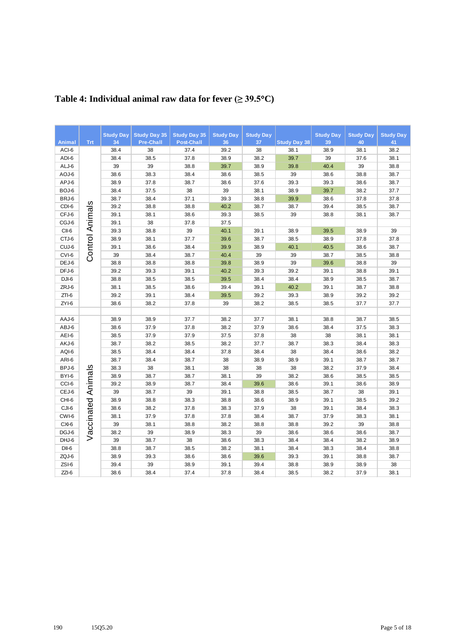|                 | <b>Trt</b>             | <b>Study Day</b><br>34 | <b>Study Day 35</b>    | <b>Study Day 35</b>       | <b>Study Day</b> | <b>Study Day</b><br>37 |                     | <b>Study Day</b> | <b>Study Day</b> | <b>Study Day</b> |
|-----------------|------------------------|------------------------|------------------------|---------------------------|------------------|------------------------|---------------------|------------------|------------------|------------------|
| Animal<br>ACI-6 |                        | 38.4                   | <b>Pre-Chall</b><br>38 | <b>Post-Chall</b><br>37.4 | 36<br>39.2       | 38                     | <b>Study Day 38</b> | 39<br>38.9       | 40<br>38.1       | 41<br>38.2       |
| ADI-6           |                        | 38.4                   | 38.5                   | 37.8                      | 38.9             | 38.2                   | 38.1<br>39.7        | 39               | 37.6             | 38.1             |
| ALJ-6           |                        | 39                     | 39                     | 38.8                      | 39.7             | 38.9                   | 39.8                | 40.4             | 39               | 38.8             |
| AOJ-6           |                        |                        | 38.3                   | 38.4                      |                  | 38.5                   | 39                  | 38.6             | 38.8             | 38.7             |
| APJ-6           |                        | 38.6<br>38.9           | 37.8                   | 38.7                      | 38.6<br>38.6     | 37.6                   | 39.3                | 39.3             | 38.6             | 38.7             |
| BOJ-6           |                        | 38.4                   | 37.5                   | 38                        | 39               | 38.1                   | 38.9                | 39.7             | 38.2             | 37.7             |
| BRJ-6           |                        | 38.7                   | 38.4                   | 37.1                      | 39.3             | 38.8                   | 39.9                | 38.6             | 37.8             | 37.8             |
| CDI-6           |                        | 39.2                   | 38.8                   | 38.8                      | 40.2             | 38.7                   | 38.7                | 39.4             | 38.5             | 38.7             |
| CFJ-6           | <b>Control Animals</b> | 39.1                   | 38.1                   | 38.6                      | 39.3             | 38.5                   | 39                  | 38.8             | 38.1             | 38.7             |
| CGJ-6           |                        | 39.1                   | 38                     | 37.8                      | 37.5             |                        |                     |                  |                  |                  |
| CII-6           |                        | 39.3                   | 38.8                   | 39                        | 40.1             | 39.1                   | 38.9                | 39.5             | 38.9             | 39               |
| CTJ-6           |                        | 38.9                   | 38.1                   | 37.7                      | 39.6             | 38.7                   | 38.5                | 38.9             | 37.8             | 37.8             |
| CUJ-6           |                        | 39.1                   | 38.6                   | 38.4                      | 39.9             | 38.9                   | 40.1                | 40.5             | 38.6             | 38.7             |
| CVI-6           |                        | 39                     | 38.4                   | 38.7                      | 40.4             | 39                     | 39                  | 38.7             | 38.5             | 38.8             |
| DEJ-6           |                        | 38.8                   | 38.8                   | 38.8                      | 39.8             | 38.9                   | 39                  | 39.6             | 38.8             | 39               |
| DFJ-6           |                        | 39.2                   | 39.3                   | 39.1                      | 40.2             | 39.3                   | 39.2                | 39.1             | 38.8             | 39.1             |
| DJI-6           |                        | 38.8                   | 38.5                   | 38.5                      | 39.5             | 38.4                   | 38.4                | 38.9             | 38.5             | 38.7             |
| ZRJ-6           |                        | 38.1                   | 38.5                   | 38.6                      | 39.4             | 39.1                   | 40.2                | 39.1             | 38.7             | 38.8             |
| $ZTI-6$         |                        | 39.2                   | 39.1                   | 38.4                      | 39.5             | 39.2                   | 39.3                | 38.9             | 39.2             | 39.2             |
| ZYI-6           |                        | 38.6                   | 38.2                   | 37.8                      | 39               | 38.2                   | 38.5                | 38.5             | 37.7             | 37.7             |
|                 |                        |                        |                        |                           |                  |                        |                     |                  |                  |                  |
| AAJ-6           |                        | 38.9                   | 38.9                   | 37.7                      | 38.2             | 37.7                   | 38.1                | 38.8             | 38.7             | 38.5             |
| ABJ-6           |                        | 38.6                   | 37.9                   | 37.8                      | 38.2             | 37.9                   | 38.6                | 38.4             | 37.5             | 38.3             |
| AEI-6           |                        | 38.5                   | 37.9                   | 37.9                      | 37.5             | 37.8                   | 38                  | 38               | 38.1             | 38.1             |
| AKJ-6           |                        | 38.7                   | 38.2                   | 38.5                      | 38.2             | 37.7                   | 38.7                | 38.3             | 38.4             | 38.3             |
| AQI-6           |                        | 38.5                   | 38.4                   | 38.4                      | 37.8             | 38.4                   | 38                  | 38.4             | 38.6             | 38.2             |
| ARI-6           |                        | 38.7                   | 38.4                   | 38.7                      | 38               | 38.9                   | 38.9                | 39.1             | 38.7             | 38.7             |
| BPJ-6           |                        | 38.3                   | 38                     | 38.1                      | 38               | 38                     | 38                  | 38.2             | 37.9             | 38.4             |
| BYI-6           | Animals                | 38.9                   | 38.7                   | 38.7                      | 38.1             | 39                     | 38.2                | 38.6             | 38.5             | 38.5             |
| CCI-6           |                        | 39.2                   | 38.9                   | 38.7                      | 38.4             | 39.6                   | 38.6                | 39.1             | 38.6             | 38.9             |
| CEJ-6           |                        | 39                     | 38.7                   | 39                        | 39.1             | 38.8                   | 38.5                | 38.7             | 38               | 39.1             |
| CHI-6           |                        | 38.9                   | 38.8                   | 38.3                      | 38.8             | 38.6                   | 38.9                | 39.1             | 38.5             | 39.2             |
| CJI-6           |                        | 38.6                   | 38.2                   | 37.8                      | 38.3             | 37.9                   | 38                  | 39.1             | 38.4             | 38.3             |
| CWI-6           |                        | 38.1                   | 37.9                   | 37.8                      | 37.8             | 38.4                   | 38.7                | 37.9             | 38.3             | 38.1             |
| CXI-6           |                        | 39                     | 38.1                   | 38.8                      | 38.2             | 38.8                   | 38.8                | 39.2             | 39               | 38.8             |
| DGJ-6           | Vaccinated             | 38.2                   | 39                     | 38.9                      | 38.3             | 39                     | 38.6                | 38.6             | 38.6             | 38.7             |
| DHJ-6           |                        | 39                     | 38.7                   | 38                        | 38.6             | 38.3                   | 38.4                | 38.4             | 38.2             | 38.9             |
| $DII-6$         |                        | 38.8                   | 38.7                   | 38.5                      | 38.2             | 38.1                   | 38.4                | 38.3             | 38.4             | 38.8             |
| ZQJ-6           |                        | 38.9                   | 39.3                   | 38.6                      | 38.6             | 39.6                   | 39.3                | 39.1             | 38.8             | 38.7             |
| ZSI-6           |                        | 39.4                   | 39                     | 38.9                      | 39.1             | 39.4                   | 38.8                | 38.9             | 38.9             | 38               |
| $ZZI-6$         |                        | 38.6                   | 38.4                   | 37.4                      | 37.8             | 38.4                   | 38.5                | 38.2             | 37.9             | 38.1             |

# **Table 4: Individual animal raw data for fever (≥ 39.5**°**C)**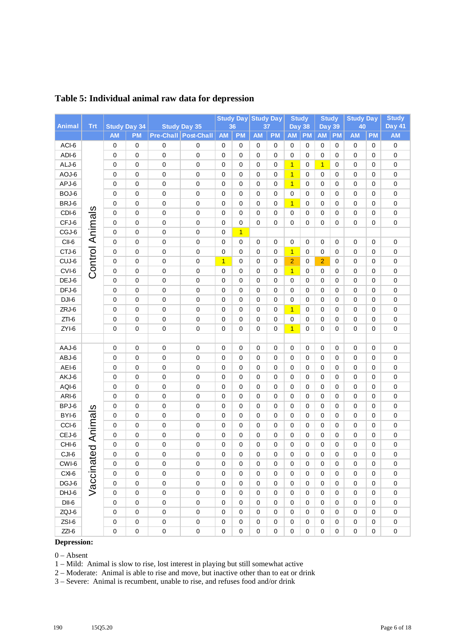|               |                        |                     |             |             |                      |                | Study Day Study Day |                  |             | <b>Study</b>     |             | <b>Study</b>   |           | <b>Study Day</b> |             | <b>Study</b>  |
|---------------|------------------------|---------------------|-------------|-------------|----------------------|----------------|---------------------|------------------|-------------|------------------|-------------|----------------|-----------|------------------|-------------|---------------|
| <b>Animal</b> | <b>Trt</b>             | <b>Study Day 34</b> |             |             | <b>Study Day 35</b>  |                | 36                  | 37               |             | <b>Day 38</b>    |             | <b>Day 39</b>  |           | 40               |             | <b>Day 41</b> |
|               |                        | <b>AM</b>           | <b>PM</b>   |             | Pre-Chall Post-Chall | <b>AM</b>      | <b>PM</b>           | <b>AM</b>        | <b>PM</b>   | <b>AM</b>        | <b>PM</b>   | <b>AM</b>      | <b>PM</b> | <b>AM</b>        | <b>PM</b>   | <b>AM</b>     |
| ACI-6         |                        | $\mathbf 0$         | $\mathbf 0$ | 0           | 0                    | 0              | 0                   | $\mathbf 0$      | 0           | 0                | 0           | 0              | 0         | 0                | 0           | $\pmb{0}$     |
| ADI-6         |                        | 0                   | 0           | $\mathbf 0$ | 0                    | 0              | $\mathbf 0$         | 0                | 0           | 0                | 0           | 0              | 0         | 0                | 0           | 0             |
| ALJ-6         |                        | 0                   | $\mathbf 0$ | 0           | 0                    | $\mathbf 0$    | 0                   | 0                | 0           | $\overline{1}$   | 0           | $\overline{1}$ | 0         | 0                | 0           | 0             |
| AOJ-6         |                        | 0                   | 0           | 0           | 0                    | $\mathbf 0$    | $\mathbf 0$         | $\mathbf 0$      | 0           | $\overline{1}$   | 0           | 0              | 0         | 0                | 0           | $\pmb{0}$     |
| APJ-6         |                        | 0                   | $\mathbf 0$ | 0           | 0                    | 0              | 0                   | $\mathbf 0$      | 0           | $\mathbf{1}$     | 0           | 0              | 0         | 0                | 0           | $\pmb{0}$     |
| BOJ-6         |                        | $\mathbf 0$         | 0           | 0           | 0                    | $\mathbf 0$    | $\mathbf 0$         | $\mathbf 0$      | 0           | 0                | 0           | 0              | 0         | 0                | 0           | 0             |
| BRJ-6         |                        | 0                   | 0           | 0           | $\pmb{0}$            | $\mathbf 0$    | $\mathbf 0$         | $\mathbf 0$      | $\mathbf 0$ | $\overline{1}$   | 0           | 0              | 0         | 0                | 0           | 0             |
| CDI-6         |                        | $\mathbf 0$         | $\mathbf 0$ | 0           | 0                    | $\mathbf 0$    | $\mathbf 0$         | 0                | 0           | 0                | 0           | 0              | 0         | 0                | 0           | 0             |
| CFJ-6         |                        | $\mathbf 0$         | $\mathbf 0$ | 0           | 0                    | 0              | 0                   | 0                | 0           | 0                | 0           | 0              | 0         | 0                | 0           | 0             |
| CGJ-6         |                        | $\mathbf 0$         | $\mathbf 0$ | 0           | 0                    | $\mathbf 0$    | $\overline{1}$      |                  |             |                  |             |                |           |                  |             |               |
| CII-6         |                        | $\mathbf 0$         | 0           | 0           | 0                    | $\mathbf 0$    | 0                   | 0                | 0           | 0                | 0           | 0              | 0         | 0                | 0           | 0             |
| CTJ-6         | <b>Control Animals</b> | 0                   | 0           | 0           | 0                    | $\mathbf 0$    | 0                   | 0                | 0           | $\overline{1}$   | 0           | 0              | 0         | 0                | 0           | 0             |
| CUJ-6         |                        | 0                   | 0           | 0           | 0                    | $\overline{1}$ | 0                   | $\mathbf 0$      | 0           | $\overline{2}$   | 0           | $\overline{2}$ | 0         | 0                | 0           | 0             |
| CVI-6         |                        | 0                   | 0           | 0           | 0                    | 0              | 0                   | 0                | 0           | $\mathbf{1}$     | 0           | 0              | 0         | 0                | 0           | 0             |
| DEJ-6         |                        | 0                   | $\mathbf 0$ | 0           | $\pmb{0}$            | 0              | $\mathbf 0$         | $\mathbf 0$      | 0           | 0                | 0           | 0              | 0         | 0                | 0           | $\pmb{0}$     |
| DFJ-6         |                        | 0                   | $\mathbf 0$ | 0           | 0                    | $\mathbf 0$    | $\mathbf 0$         | 0                | 0           | 0                | 0           | 0              | 0         | 0                | 0           | 0             |
| $DJI-6$       |                        | 0                   | $\mathbf 0$ | 0           | 0                    | 0              | $\mathbf 0$         | 0                | 0           | 0                | 0           | 0              | 0         | 0                | 0           | 0             |
| ZRJ-6         |                        | 0                   | $\mathbf 0$ | 0           | 0                    | $\mathbf 0$    | $\mathbf 0$         | 0                | 0           | $\overline{1}$   | 0           | 0              | 0         | $\mathbf 0$      | 0           | 0             |
| $ZTI-6$       |                        | 0                   | 0           | 0           | 0                    | 0              | 0                   | 0                | 0           | 0                | 0           | 0              | 0         | 0                | 0           | 0             |
| ZYI-6         |                        | $\mathbf 0$         | 0           | 0           | $\mathbf 0$          | $\mathbf 0$    | $\mathbf 0$         | 0                | $\mathbf 0$ | $\overline{1}$   | 0           | 0              | 0         | 0                | 0           | 0             |
|               |                        |                     |             |             |                      |                |                     |                  |             |                  |             |                |           |                  |             |               |
| AAJ-6         |                        | 0                   | 0           | 0           | $\pmb{0}$            | 0              | 0                   | 0                | 0           | 0                | 0           | 0              | 0         | 0                | 0           | $\pmb{0}$     |
| ABJ-6         |                        | 0                   | 0           | 0           | 0                    | 0              | 0                   | $\mathbf 0$      | 0           | 0                | 0           | 0              | 0         | 0                | 0           | 0             |
| AEI-6         |                        | 0                   | 0           | 0           | 0                    | 0              | $\mathbf 0$         | 0                | 0           | 0                | 0           | 0              | 0         | 0                | 0           | $\pmb{0}$     |
| AKJ-6         |                        | 0                   | $\mathbf 0$ | 0           | 0                    | $\mathbf 0$    | 0                   | $\mathbf 0$      | 0           | 0                | 0           | 0              | 0         | 0                | 0           | 0             |
| AQI-6         |                        | 0                   | $\mathbf 0$ | 0           | 0                    | 0              | $\mathbf 0$         | 0                | 0           | 0                | 0           | 0              | 0         | 0                | 0           | 0             |
| ARI-6         |                        | 0                   | $\mathbf 0$ | 0           | 0                    | $\mathbf 0$    | $\mathbf 0$         | 0                | 0           | 0                | $\mathbf 0$ | 0              | 0         | 0                | 0           | 0             |
| BPJ-6         |                        | $\mathbf 0$         | $\mathbf 0$ | 0           | $\pmb{0}$            | $\mathbf 0$    | $\mathbf 0$         | 0                | 0           | 0                | 0           | 0              | 0         | 0                | 0           | 0             |
| BYI-6         |                        | 0                   | 0           | 0           | 0                    | $\mathbf 0$    | $\mathbf 0$         | 0                | 0           | 0                | 0           | 0              | 0         | 0                | 0           | 0             |
| CCI-6         |                        | $\mathbf 0$         | 0           | 0           | 0                    | 0              | 0                   | 0                | 0           | 0                | 0           | 0              | 0         | 0                | 0           | 0             |
| CEJ-6         | ed Animals             | 0                   | 0           | 0           | 0                    | 0              | 0                   | 0                | 0           | 0                | 0           | 0              | 0         | 0                | 0           | 0             |
| CHI-6         |                        | $\mathbf 0$         | 0           | 0           | 0                    | 0              | 0                   | 0                | 0           | 0                | 0           | $\mathbf 0$    | 0         | 0                | 0           | 0             |
| CJI-6         |                        | $\mathbf 0$         | $\mathbf 0$ | 0           | 0                    | 0              | $\mathbf 0$         | $\pmb{0}$        | 0           | 0                | $\mathbf 0$ | $\pmb{0}$      | 0         | $\mathsf 0$      | $\mathbf 0$ | 0             |
| CWI-6         |                        | 0                   | $\mathbf 0$ | 0           | 0                    | 0              | 0                   | 0                | 0           | 0                | 0           | 0              | 0         | 0                | 0           | 0             |
| CXI-6         | Vaccinat               | $\pmb{0}$           | $\mathbf 0$ | 0           | $\mathbf 0$          | $\mathbf 0$    | $\mathbf 0$         | $\mathbf 0$      | 0           | $\mathbf 0$      | $\mathbf 0$ | $\mathbf 0$    | 0         | $\pmb{0}$        | $\mathbf 0$ | 0             |
| DGJ-6         |                        | $\mathbf 0$         | $\pmb{0}$   | $\mathbf 0$ | 0                    | $\mathbf 0$    | $\mathbf 0$         | $\mathbf 0$      | $\mathbf 0$ | $\mathbf 0$      | $\mathbf 0$ | 0              | 0         | $\mathbf 0$      | $\mathbf 0$ | 0             |
| DHJ-6         |                        | $\mathbf 0$         | $\pmb{0}$   | $\pmb{0}$   | 0                    | $\mathbf 0$    | 0                   | $\pmb{0}$        | 0           | $\mathbf 0$      | $\mathbf 0$ | $\mathbf 0$    | 0         | $\mathbf 0$      | $\mathbf 0$ | 0             |
| $DII-6$       |                        | $\mathbf 0$         | $\pmb{0}$   | $\mathbf 0$ | 0                    | $\pmb{0}$      | $\mathbf 0$         | $\mathbf 0$      | 0           | $\mathbf 0$      | $\mathbf 0$ | 0              | 0         | $\mathbf 0$      | 0           | 0             |
| ZQJ-6         |                        | $\mathbf 0$         | $\mathbf 0$ | $\pmb{0}$   | 0                    | 0              | $\mathbf 0$         | $\mathbf 0$      | 0           | $\mathbf 0$      | 0           | $\pmb{0}$      | 0         | $\pmb{0}$        | $\mathbf 0$ | $\mathbf 0$   |
| ZSI-6         |                        | $\mathbf 0$         | $\pmb{0}$   | $\mathbf 0$ | $\pmb{0}$            | 0              | $\pmb{0}$           | 0                | $\pmb{0}$   | 0                | 0           | $\pmb{0}$      | 0         | $\pmb{0}$        | 0           | 0             |
| $ZZI-6$       |                        | $\mathbf 0$         | $\mathbf 0$ | $\mathbf 0$ | $\mathbf 0$          | $\mathbf 0$    | $\mathbf 0$         | $\boldsymbol{0}$ | $\mathbf 0$ | $\boldsymbol{0}$ | 0           | $\mathbf 0$    | 0         | $\pmb{0}$        | 0           | 0             |

## **Table 5: Individual animal raw data for depression**

## **Depression:**

#### 0 – Absent

1 – Mild: Animal is slow to rise, lost interest in playing but still somewhat active

2 – Moderate: Animal is able to rise and move, but inactive other than to eat or drink

3 – Severe: Animal is recumbent, unable to rise, and refuses food and/or drink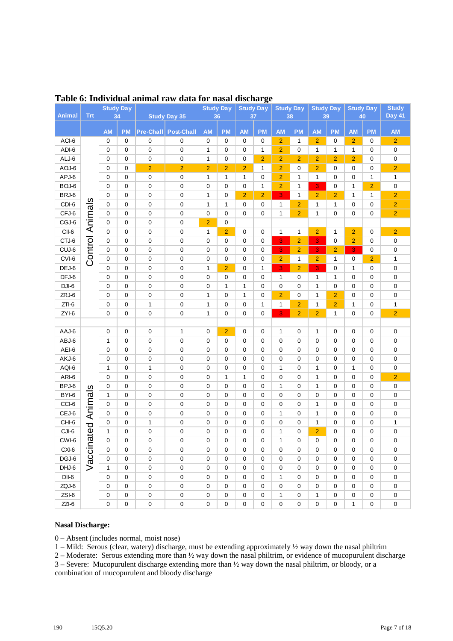| Animal  | <b>Trt</b>             | <b>Study Day</b><br>34 |           |                  |                     | 36             | <b>Study Day</b> | <b>Study Day</b><br>37 |                | <b>Study Day</b><br>38 |                | <b>Study Day</b><br>39 |                | <b>Study Day</b><br>40 |                | <b>Study</b><br>Day 41 |
|---------|------------------------|------------------------|-----------|------------------|---------------------|----------------|------------------|------------------------|----------------|------------------------|----------------|------------------------|----------------|------------------------|----------------|------------------------|
|         |                        |                        |           |                  | <b>Study Day 35</b> |                |                  |                        |                |                        |                |                        |                |                        |                |                        |
|         |                        | <b>AM</b>              | <b>PM</b> | <b>Pre-Chall</b> | <b>Post-Chall</b>   | <b>AM</b>      | <b>PM</b>        | <b>AM</b>              | <b>PM</b>      | <b>AM</b>              | <b>PM</b>      | <b>AM</b>              | <b>PM</b>      | <b>AM</b>              | <b>PM</b>      | <b>AM</b>              |
| ACI-6   |                        | 0                      | 0         | 0                | $\pmb{0}$           | $\pmb{0}$      | 0                | 0                      | 0              | $\overline{2}$         | 1              | $\overline{2}$         | 0              | $\overline{2}$         | 0              | $\overline{2}$         |
| ADI-6   |                        | 0                      | 0         | 0                | $\mathbf 0$         | $\mathbf{1}$   | 0                | 0                      | 1              | $\overline{2}$         | 0              | 1                      | 1              | 1                      | 0              | $\pmb{0}$              |
| ALJ-6   |                        | $\mathbf 0$            | 0         | 0                | $\pmb{0}$           | 1              | 0                | 0                      | $\overline{2}$ | $\overline{2}$         | $\overline{2}$ | $\overline{2}$         | $\overline{2}$ | $\overline{2}$         | 0              | 0                      |
| AOJ-6   |                        | $\mathbf 0$            | 0         | $\overline{2}$   | $\overline{2}$      | $\overline{2}$ | $\overline{2}$   | $\overline{2}$         | $\mathbf{1}$   | $\overline{2}$         | 0              | $\overline{2}$         | 0              | 0                      | 0              | $\overline{c}$         |
| APJ-6   |                        | $\mathbf 0$            | 0         | 0                | $\pmb{0}$           | 1              | 1                | 1                      | $\mathbf 0$    | $\overline{2}$         | 1              | 1                      | 0              | 0                      | 1              | $\mathbf 1$            |
| BOJ-6   |                        | $\mathbf 0$            | 0         | 0                | $\pmb{0}$           | 0              | 0                | 0                      | $\mathbf{1}$   | $\overline{2}$         | 1              | 3                      | 0              | 1                      | $\overline{2}$ | 0                      |
| BRJ-6   |                        | $\mathbf 0$            | 0         | 0                | $\pmb{0}$           | 1              | 0                | $\overline{2}$         | $\overline{2}$ | 3                      | 1              | $\overline{2}$         | $\overline{2}$ | 1                      | 1              | $\overline{c}$         |
| $CDI-6$ |                        | $\mathbf 0$            | 0         | 0                | $\pmb{0}$           | 1              | 1                | 0                      | $\mathbf 0$    | 1                      | $\overline{2}$ | 1                      | 1              | 0                      | 0              | $\overline{2}$         |
| CFJ-6   |                        | $\mathbf 0$            | 0         | 0                | $\pmb{0}$           | 0              | 0                | 0                      | 0              | 1                      | $\overline{2}$ | 1                      | $\mathbf 0$    | 0                      | 0              | $\overline{2}$         |
| CGJ-6   |                        | 0                      | 0         | 0                | $\pmb{0}$           | $\overline{2}$ | 0                |                        |                |                        |                |                        |                |                        |                |                        |
| CII-6   |                        | $\mathbf 0$            | 0         | 0                | $\pmb{0}$           | 1              | $\overline{2}$   | 0                      | 0              | 1                      | 1              | $\overline{2}$         | 1              | $\overline{2}$         | 0              | $\overline{2}$         |
| CTJ-6   |                        | $\mathbf 0$            | 0         | 0                | $\mathbf 0$         | 0              | 0                | 0                      | $\mathbf 0$    | 3                      | $\overline{2}$ | 3                      | 0              | $\overline{2}$         | 0              | 0                      |
| CUJ-6   |                        | 0                      | 0         | 0                | $\pmb{0}$           | 0              | 0                | 0                      | 0              | 3                      | $\overline{2}$ | 3                      | $\overline{2}$ | 3                      | 0              | 0                      |
| $CVI-6$ | <b>Control Animals</b> | 0                      | 0         | 0                | $\pmb{0}$           | 0              | 0                | 0                      | 0              | $\overline{2}$         | 1              | $\overline{2}$         | 1              | 0                      | $\overline{2}$ | 1                      |
| DEJ-6   |                        | $\mathbf 0$            | 0         | 0                | $\mathbf 0$         | 1              | $\overline{2}$   | 0                      | 1              | 3                      | $\overline{2}$ | 3                      | 0              | 1                      | 0              | 0                      |
| $DFJ-6$ |                        | 0                      | 0         | 0                | $\mathbf 0$         | 0              | 0                | 0                      | 0              | 1                      | 0              | 1                      | 1              | 0                      | 0              | 0                      |
| DJI-6   |                        | 0                      | 0         | 0                | $\mathbf 0$         | 0              | 1                | 1                      | 0              | $\mathbf 0$            | 0              | 1                      | 0              | 0                      | 0              | 0                      |
| ZRJ-6   |                        | 0                      | 0         | 0                | $\mathbf 0$         | 1              | 0                | 1                      | 0              | $\overline{2}$         | 0              | 1                      | $\overline{2}$ | 0                      | 0              | 0                      |
| $ZTI-6$ |                        | 0                      | 0         | 1                | $\mathbf 0$         | 1              | 0                | 0                      | 1              | 1                      | $\overline{2}$ | 1                      | $\overline{2}$ | 1                      | 0              | 1                      |
| $ZYI-6$ |                        | 0                      | 0         | 0                | $\mathbf 0$         | 1              | 0                | 0                      | 0              | 3                      | $\overline{2}$ | $\overline{2}$         | 1              | 0                      | 0              | $\overline{2}$         |
|         |                        |                        |           |                  |                     |                |                  |                        |                |                        |                |                        |                |                        |                |                        |
| AAJ-6   |                        | 0                      | 0         | 0                | 1                   | 0              | $\overline{2}$   | 0                      | 0              | 1                      | $\mathbf 0$    | 1                      | $\mathbf 0$    | 0                      | 0              | 0                      |
| ABJ-6   |                        | 1                      | 0         | 0                | $\mathbf 0$         | 0              | 0                | 0                      | 0              | $\mathbf 0$            | 0              | $\mathbf 0$            | $\mathbf 0$    | 0                      | 0              | 0                      |
| AEI-6   |                        | 0                      | 0         | 0                | $\mathbf 0$         | 0              | 0                | 0                      | 0              | 0                      | 0              | 0                      | $\mathbf 0$    | 0                      | 0              | 0                      |
| AKJ-6   |                        | 0                      | 0         | 0                | $\mathbf 0$         | 0              | 0                | 0                      | 0              | 0                      | 0              | 0                      | $\mathbf 0$    | 0                      | 0              | 0                      |
| AQI-6   |                        | 1                      | 0         | 1                | $\mathbf 0$         | 0              | 0                | 0                      | 0              | 1                      | 0              | 1                      | $\mathbf 0$    | 1                      | 0              | 0                      |
| ARI-6   |                        | $\mathbf 0$            | 0         | 0                | $\mathbf 0$         | 0              | 1                | 1                      | 0              | 0                      | $\mathbf 0$    | 1                      | $\mathbf 0$    | 0                      | $\mathbf 0$    | $\overline{2}$         |
| BPJ-6   | $\overline{\omega}$    | $\mathbf 0$            | 0         | 0                | $\mathbf 0$         | 0              | 0                | 0                      | 0              | 1                      | $\mathbf 0$    | 1                      | $\mathbf 0$    | 0                      | 0              | 0                      |
| BYI-6   |                        | $\mathbf{1}$           | 0         | 0                | $\mathbf 0$         | 0              | 0                | 0                      | 0              | $\mathbf 0$            | $\mathbf 0$    | $\mathbf 0$            | $\mathbf 0$    | 0                      | 0              | 0                      |
| CCI-6   | Animal                 | $\mathbf 0$            | 0         | 0                | $\mathbf 0$         | 0              | 0                | 0                      | 0              | 0                      | $\mathbf 0$    | 1                      | $\mathbf 0$    | 0                      | 0              | 0                      |
| CEJ-6   |                        | 0                      | 0         | 0                | $\mathbf 0$         | 0              | 0                | 0                      | 0              | 1                      | $\mathbf 0$    | 1                      | $\mathbf 0$    | 0                      | 0              | 0                      |
| CHI-6   |                        | 0                      | 0         | 1                | $\mathbf 0$         | 0              | 0                | 0                      | 0              | 0                      | 0              | 1                      | $\mathbf 0$    | 0                      | 0              | 1                      |
| CJI-6   | ated                   | 1                      | 0         | 0                | $\mathbf 0$         | 0              | 0                | 0                      | 0              | 1                      | 0              | $\overline{2}$         | 0              | 0                      | 0              | $\pmb{0}$              |
| CWI-6   |                        | 0                      | 0         | 0                | 0                   | 0              | 0                | 0                      | $\mathbf 0$    | 1                      | $\mathbf 0$    | $\mathbf 0$            | $\mathbf 0$    | 0                      | 0              | 0                      |
| CXI-6   | Vaccin                 | 0                      | 0         | 0                | 0                   | 0              | 0                | 0                      | 0              | $\mathbf 0$            | $\mathbf 0$    | 0                      | 0              | 0                      | 0              | 0                      |
| DGJ-6   |                        | $\mathbf 0$            | 0         | 0                | $\mathbf 0$         | 0              | 0                | 0                      | 0              | 0                      | $\mathbf 0$    | 0                      | $\mathbf 0$    | 0                      | 0              | $\pmb{0}$              |
| DHJ-6   |                        | $\mathbf{1}$           | 0         | 0                | $\mathbf 0$         | 0              | 0                | 0                      | 0              | 0                      | $\mathbf 0$    | 0                      | 0              | 0                      | 0              | 0                      |
| DII-6   |                        | 0                      | 0         | 0                | $\mathbf 0$         | 0              | 0                | $\mathbf 0$            | 0              | 1                      | $\mathbf 0$    | 0                      | $\mathbf 0$    | 0                      | 0              | $\mathsf 0$            |
| ZQJ-6   |                        | $\mathbf 0$            | 0         | 0                | $\mathbf 0$         | 0              | 0                | $\mathbf 0$            | $\mathsf 0$    | $\mathbf 0$            | $\mathbf 0$    | 0                      | $\mathbf 0$    | 0                      | 0              | $\mathsf 0$            |
| ZSI-6   |                        | 0                      | 0         | 0                | $\mathbf 0$         | $\pmb{0}$      | 0                | $\pmb{0}$              | $\mathsf 0$    | 1                      | $\mathbf 0$    | 1                      | 0              | 0                      | 0              | $\pmb{0}$              |
| $ZZI-6$ |                        | 0                      | 0         | 0                | $\pmb{0}$           | $\mathsf 0$    | 0                | $\pmb{0}$              | $\mathsf 0$    | $\mathbf 0$            | 0              | 0                      | 0              | $\mathbf{1}$           | 0              | $\mathbf 0$            |

### **Table 6: Individual animal raw data for nasal discharge**

#### **Nasal Discharge:**

0 – Absent (includes normal, moist nose)

1 – Mild: Serous (clear, watery) discharge, must be extending approximately ½ way down the nasal philtrim

2 – Moderate: Serous extending more than ½ way down the nasal philtrim, or evidence of mucopurulent discharge 3 – Severe: Mucopurulent discharge extending more than ½ way down the nasal philtrim, or bloody, or a

combination of mucopurulent and bloody discharge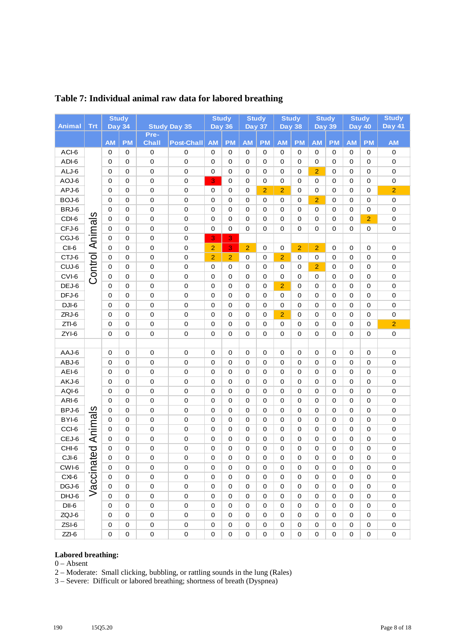|                |           | <b>Study</b>             |             |                        |                     |                         | <b>Study</b>   |                            | <b>Study</b>   |                | <b>Study</b>   | <b>Study</b>   |             | <b>Study</b>               |                | <b>Study</b>             |
|----------------|-----------|--------------------------|-------------|------------------------|---------------------|-------------------------|----------------|----------------------------|----------------|----------------|----------------|----------------|-------------|----------------------------|----------------|--------------------------|
| <b>Animal</b>  | Trt       | <b>Day 34</b>            |             |                        | <b>Study Day 35</b> | <b>Day 36</b>           |                | <b>Day 37</b>              |                | <b>Day 38</b>  |                | <b>Day 39</b>  |             | <b>Day 40</b>              |                | <b>Day 41</b>            |
|                |           | <b>AM</b>                | <b>PM</b>   | Pre-<br><b>Chall</b>   | <b>Post-Chall</b>   | <b>AM</b>               | <b>PM</b>      | <b>AM</b>                  | <b>PM</b>      | <b>AM</b>      | <b>PM</b>      | <b>AM</b>      | <b>PM</b>   | <b>AM</b>                  | <b>PM</b>      | <b>AM</b>                |
| ACI-6          |           | $\pmb{0}$                | 0           | $\pmb{0}$              | 0                   | 0                       | 0              | 0                          | 0              | 0              | 0              | 0              | 0           | $\mathbf 0$                | 0              | $\mathsf 0$              |
| ADI-6          |           | $\mathbf 0$              | 0           | $\mathbf 0$            | $\pmb{0}$           | $\mathbf 0$             | 0              | $\mathbf 0$                | 0              | $\mathbf 0$    | 0              | 0              | 0           | $\mathbf 0$                | 0              | $\mathsf 0$              |
| ALJ-6          |           | 0                        | $\mathbf 0$ | 0                      | $\mathbf 0$         | $\mathbf 0$             | 0              | $\mathbf 0$                | 0              | $\pmb{0}$      | 0              | $\overline{2}$ | $\mathbf 0$ | $\mathbf 0$                | 0              | $\mathbf 0$              |
| AOJ-6          |           | 0                        | $\mathbf 0$ | 0                      | $\boldsymbol{0}$    | $\overline{\mathbf{3}}$ | 0              | $\mathbf 0$                | 0              | $\mathbf 0$    | $\mathbf 0$    | 0              | 0           | $\mathbf 0$                | 0              | $\mathbf 0$              |
| APJ-6          |           | 0                        | $\mathbf 0$ | 0                      | 0                   | 0                       | 0              | $\mathbf 0$                | $\overline{2}$ | $\overline{2}$ | 0              | 0              | 0           | $\mathbf 0$                | 0              | $\overline{2}$           |
| BOJ-6          |           | 0                        | 0           | $\pmb{0}$              | 0                   | 0                       | 0              | $\mathbf 0$                | 0              | $\mathbf 0$    | 0              | $\overline{2}$ | $\mathbf 0$ | $\mathbf 0$                | 0              | $\mathbf 0$              |
| BRJ-6          |           | 0                        | 0           | $\pmb{0}$              | 0                   | 0                       | 0              | 0                          | 0              | $\mathbf 0$    | 0              | 0              | $\mathbf 0$ | $\mathbf 0$                | 0              | $\mathbf 0$              |
| CDI-6          |           | $\mathbf 0$              | $\mathbf 0$ | $\pmb{0}$              | 0                   | 0                       | 0              | $\mathbf 0$                | 0              | 0              | 0              | 0              | 0           | $\mathbf 0$                | $\overline{2}$ | $\mathbf 0$              |
| CFJ-6          | Animals   | 0                        | 0           | 0                      | 0                   | $\mathbf 0$             | 0              | $\mathbf 0$                | 0              | 0              | 0              | $\mathbf 0$    | 0           | $\mathbf 0$                | 0              | $\mathbf 0$              |
| CGJ-6          |           | 0                        | 0           | 0                      | 0                   | 3                       | 3              |                            |                |                |                |                |             |                            |                |                          |
| CII-6          |           | 0                        | 0           | $\pmb{0}$              | $\pmb{0}$           | $\overline{2}$          | 3              | $\overline{2}$             | 0              | $\mathbf 0$    | $\overline{2}$ | $\overline{2}$ | $\mathbf 0$ | $\mathbf 0$                | $\pmb{0}$      | $\pmb{0}$                |
| CTJ-6          |           | 0                        | 0           | 0                      | $\pmb{0}$           | $\overline{2}$          | $\overline{2}$ | 0                          | 0              | $\overline{2}$ | 0              | 0              | 0           | 0                          | 0              | $\pmb{0}$                |
| CUJ-6          | Control   | $\mathbf 0$              | $\mathbf 0$ | $\pmb{0}$              | $\pmb{0}$           | 0                       | 0              | $\mathbf 0$                | 0              | 0              | 0              | $\overline{2}$ | $\mathbf 0$ | $\mathbf 0$                | 0              | $\mathbf 0$              |
| CVI-6          |           | $\mathbf 0$              | 0           | 0                      | 0                   | $\mathbf 0$             | 0              | $\mathbf 0$                | 0              | 0              | 0              | 0              | 0           | $\mathbf 0$                | 0              | $\mathbf 0$              |
| DEJ-6          |           | 0                        | 0           | 0                      | 0                   | 0                       | 0              | 0                          | 0              | $\overline{2}$ | 0              | 0              | 0           | 0                          | 0              | $\pmb{0}$                |
| DFJ-6          |           | 0                        | $\mathbf 0$ | 0                      | 0                   | $\mathbf 0$             | 0              | $\mathbf 0$                | 0              | 0              | 0              | $\mathbf 0$    | 0           | $\mathbf 0$                | 0              | $\mathbf 0$              |
| DJI-6          |           | 0                        | 0           | 0                      | 0                   | 0                       | 0              | $\mathbf 0$                | 0              | 0              | 0              | 0              | 0           | $\mathbf 0$                | 0              | $\mathbf 0$              |
| ZRJ-6          |           | 0                        | 0           | $\pmb{0}$              | 0                   | 0                       | 0              | $\mathbf 0$                | 0              | $\overline{2}$ | 0              | 0              | 0           | $\mathbf 0$                | 0              | $\mathbf 0$              |
| $ZTI-6$        |           | 0                        | 0           | 0                      | $\boldsymbol{0}$    | $\mathbf 0$             | 0              | $\mathbf 0$                | 0              | 0              | 0              | 0              | 0           | $\mathbf 0$                | 0              | $\overline{a}$           |
| ZYI-6          |           | $\mathbf 0$              | $\mathbf 0$ | 0                      | 0                   | 0                       | 0              | $\mathbf 0$                | 0              | $\pmb{0}$      | 0              | $\mathbf 0$    | 0           | $\mathbf 0$                | 0              | $\pmb{0}$                |
|                |           |                          |             |                        |                     |                         |                |                            |                |                |                |                |             |                            |                |                          |
| AAJ-6          |           | 0                        | 0           | $\pmb{0}$              | $\pmb{0}$           | $\mathbf 0$             | 0              | $\pmb{0}$                  | 0              | $\pmb{0}$      | $\mathbf 0$    | 0              | $\,0\,$     | $\pmb{0}$                  | 0              | $\pmb{0}$                |
| ABJ-6          |           | 0                        | 0           | 0                      | $\pmb{0}$           | 0                       | 0              | 0                          | 0              | 0              | 0              | 0              | $\mathbf 0$ | $\mathbf 0$                | 0              | $\pmb{0}$                |
| AEI-6          |           | $\mathbf 0$              | $\mathbf 0$ | $\pmb{0}$              | $\mathbf 0$         | $\mathbf 0$             | 0              | $\mathbf 0$                | $\mathsf 0$    | $\mathbf 0$    | 0              | $\mathbf 0$    | $\mathbf 0$ | $\mathbf 0$                | 0              | $\mathbf 0$              |
| AKJ-6          |           | 0                        | 0           | 0                      | $\pmb{0}$           | 0                       | 0              | $\mathbf 0$                | 0              | 0              | 0              | 0              | 0           | $\pmb{0}$                  | 0              | $\mathbf 0$              |
| AQI-6          |           | 0                        | $\mathbf 0$ | 0                      | 0                   | 0                       | 0              | $\mathbf 0$                | 0              | $\mathbf 0$    | 0              | 0              | 0           | 0                          | 0              | $\mathbf 0$              |
| ARI-6          |           | $\mathbf 0$              | 0           | 0                      | 0                   | $\mathbf 0$             | 0              | $\mathbf 0$                | 0              | $\mathbf 0$    | $\mathbf 0$    | 0              | 0           | $\mathbf 0$                | 0              | $\mathbf 0$              |
| BPJ-6          |           | $\mathbf 0$              | 0           | $\pmb{0}$              | 0                   | 0                       | 0              | $\mathbf 0$                | 0              | $\mathbf 0$    | $\mathbf 0$    | 0              | 0           | $\mathbf 0$                | 0              | $\mathbf 0$              |
| BYI-6<br>CCI-6 |           | $\pmb{0}$<br>$\mathbf 0$ | 0<br>0      | $\pmb{0}$<br>$\pmb{0}$ | $\pmb{0}$<br>0      | $\Omega$<br>0           | 0<br>0         | $\mathbf 0$<br>$\mathbf 0$ | 0<br>0         | $\mathbf 0$    | 0<br>0         | 0<br>0         | 0<br>0      | $\mathbf 0$<br>$\mathbf 0$ | 0<br>0         | $\mathbf 0$<br>$\pmb{0}$ |
| CEJ-6          | Animals   | 0                        | 0           | 0                      | $\pmb{0}$           | 0                       | 0              | 0                          | 0              | 0<br>0         | 0              | 0              | 0           | 0                          | 0              | $\boldsymbol{0}$         |
| CHI-6          |           | 0                        | 0           | 0                      | 0                   | $\mathbf 0$             | 0              | 0                          | 0              | 0              | 0              | 0              | 0           | 0                          | 0              | $\mathbf 0$              |
| CJI-6          |           | $\pmb{0}$                | $\mathbf 0$ | $\mathbf 0$            | $\pmb{0}$           | $\mathbf 0$             | 0              | 0                          | 0              | $\mathbf 0$    | $\mathbf 0$    | $\pmb{0}$      | $\,0\,$     | 0                          | 0              | 0                        |
| CWI-6          |           | $\mathbf 0$              | 0           | $\mathbf 0$            | $\mathbf 0$         | 0                       | 0              | $\mathbf 0$                | 0              | 0              | 0              | 0              | 0           | 0                          | 0              | 0                        |
| CXI-6          | accinated | $\mathbf 0$              | $\mathbf 0$ | $\mathbf 0$            | $\mathsf{O}\xspace$ | $\mathbf 0$             | 0              | $\mathbf 0$                | 0              | $\mathbf 0$    | $\mathbf 0$    | $\mathbf 0$    | 0           | $\mathbf 0$                | 0              | $\mathsf 0$              |
| DGJ-6          |           | 0                        | 0           | $\mathbf 0$            | $\mathbf 0$         | $\mathbf 0$             | 0              | $\mathbf 0$                | 0              | 0              | 0              | 0              | $\mathbf 0$ | 0                          | $\mathbf 0$    | 0                        |
| DHJ-6          | $\gt$     | $\mathbf 0$              | $\mathbf 0$ | $\mathbf 0$            | $\mathbf 0$         | $\mathbf 0$             | 0              | 0                          | 0              | 0              | 0              | 0              | $\mathbf 0$ | 0                          | $\mathbf 0$    | 0                        |
| $DII-6$        |           | $\mathbf 0$              | $\mathbf 0$ | $\mathbf 0$            | $\mathbf 0$         | $\mathbf 0$             | 0              | $\mathbf 0$                | 0              | $\mathbf 0$    | $\mathbf 0$    | $\mathbf 0$    | $\mathbf 0$ | $\mathbf 0$                | $\mathbf 0$    | 0                        |
| ZQJ-6          |           | $\pmb{0}$                | $\mathbf 0$ | $\mathbf 0$            | 0                   | $\mathbf 0$             | 0              | 0                          | 0              | 0              | 0              | 0              | 0           | $\mathbf 0$                | $\mathbf 0$    | 0                        |
| ZSI-6          |           | $\mathbf 0$              | 0           | $\mathbf 0$            | 0                   | $\mathbf 0$             | 0              | 0                          | 0              | 0              | 0              | 0              | 0           | 0                          | 0              | 0                        |
| $ZZI-6$        |           | $\mathbf 0$              | 0           | $\pmb{0}$              | 0                   | $\mathbf 0$             | 0              | $\mathbf 0$                | 0              | 0              | $\mathbf 0$    | $\mathbf 0$    | 0           | $\mathbf 0$                | 0              | $\mathsf 0$              |

## **Table 7: Individual animal raw data for labored breathing**

#### **Labored breathing:**

0 – Absent

2 – Moderate: Small clicking, bubbling, or rattling sounds in the lung (Rales)

3 – Severe: Difficult or labored breathing; shortness of breath (Dyspnea)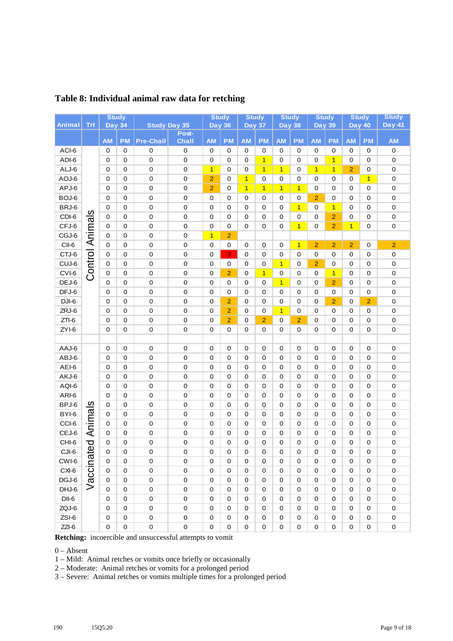|                |                         | <b>Study</b>  |             |                            |                       | <b>Study</b>   |                | <b>Study</b>   |                |                | <b>Study</b>   | <b>Study</b>   |                | <b>Study</b>   |                | <b>Study</b>           |
|----------------|-------------------------|---------------|-------------|----------------------------|-----------------------|----------------|----------------|----------------|----------------|----------------|----------------|----------------|----------------|----------------|----------------|------------------------|
| <b>Animal</b>  | Trt                     | <b>Day 34</b> |             | <b>Study Day 35</b>        |                       | <b>Day 36</b>  |                | <b>Day 37</b>  |                |                | <b>Day 38</b>  | <b>Day 39</b>  |                | <b>Day 40</b>  |                | <b>Day 41</b>          |
|                |                         | <b>AM</b>     | <b>PM</b>   | <b>Pre-Chall</b>           | Post-<br><b>Chall</b> | <b>AM</b>      | <b>PM</b>      | <b>AM</b>      | <b>PM</b>      | <b>AM</b>      | <b>PM</b>      | <b>AM</b>      | <b>PM</b>      | <b>AM</b>      | <b>PM</b>      | <b>AM</b>              |
| ACI-6          |                         | 0             | 0           | 0                          | $\mathbf 0$           | 0              | 0              | 0              | 0              | 0              | 0              | 0              | 0              | 0              | 0              | $\mathbf 0$            |
| ADI-6          |                         | 0             | 0           | $\mathbf 0$                | 0                     | 0              | 0              | 0              | $\overline{1}$ | 0              | 0              | 0              | $\overline{1}$ | 0              | 0              | $\mathbf 0$            |
| ALJ-6          |                         | 0             | $\mathbf 0$ | $\mathbf 0$                | $\mathbf 0$           | $\overline{1}$ | 0              | 0              | $\mathbf{1}$   | $\overline{1}$ | 0              | $\overline{1}$ | $\overline{1}$ | $\overline{2}$ | 0              | $\pmb{0}$              |
| AOJ-6          |                         | 0             | 0           | $\pmb{0}$                  | 0                     | $\overline{2}$ | 0              | $\overline{1}$ | 0              | 0              | 0              | 0              | 0              | 0              | $\overline{1}$ | $\pmb{0}$              |
| APJ-6          |                         | 0             | 0           | $\mathbf 0$                | $\mathbf 0$           | $\overline{2}$ | 0              | $\overline{1}$ | $\overline{1}$ | $\overline{1}$ | $\mathbf{1}$   | 0              | 0              | 0              | 0              | 0                      |
| BOJ-6          |                         | 0             | 0           | $\mathbf 0$                | $\mathbf 0$           | 0              | 0              | 0              | 0              | 0              | 0              | $\overline{2}$ | 0              | 0              | 0              | $\pmb{0}$              |
| BRJ-6          |                         | 0             | 0           | $\mathbf 0$                | $\mathbf 0$           | 0              | 0              | 0              | 0              | 0              | $\overline{1}$ | 0              | $\overline{1}$ | 0              | 0              | $\mathbf 0$            |
| CDI-6          | $\boldsymbol{\omega}$   | 0             | 0           | $\pmb{0}$                  | $\mathbf 0$           | $\mathbf 0$    | 0              | $\mathbf 0$    | 0              | 0              | 0              | 0              | $\overline{2}$ | $\mathbf 0$    | 0              | 0                      |
| CFJ-6          | Animal                  | 0             | 0           | $\pmb{0}$                  | $\mathbf 0$           | 0              | 0              | 0              | 0              | 0              | $\overline{1}$ | 0              | $\overline{2}$ | $\overline{1}$ | 0              | $\mathbf 0$            |
| CGJ-6          |                         | 0             | 0           | $\mathbf 0$                | 0                     | $\overline{1}$ | $\overline{2}$ |                |                |                |                |                |                |                |                |                        |
| CII-6          |                         | 0             | 0           | $\mathbf 0$                | 0                     | 0              | 0              | 0              | 0              | 0              | $\overline{1}$ | $\overline{2}$ | $\overline{2}$ | $\overline{2}$ | 0              | $\overline{2}$         |
| CTJ-6          | Control                 | 0             | 0           | $\pmb{0}$                  | 0                     | 0              | 3              | 0              | 0              | 0              | 0              | 0              | 0              | 0              | 0              | $\pmb{0}$              |
| CUJ-6          |                         | 0             | 0           | 0                          | 0                     | 0              | 0              | 0              | 0              | $\overline{1}$ | 0              | $\overline{2}$ | 0              | 0              | 0              | $\pmb{0}$              |
| CVI-6          |                         | 0             | 0           | 0                          | 0                     | 0              | $\overline{2}$ | 0              | $\overline{1}$ | 0              | 0              | 0              | $\overline{1}$ | 0              | 0              | $\mathbf 0$            |
| DEJ-6          |                         | 0             | 0           | 0                          | 0                     | 0              | 0              | 0              | 0              | $\overline{1}$ | 0              | 0              | $\overline{2}$ | 0              | 0              | $\mathbf 0$            |
| DFJ-6          |                         | 0             | 0           | 0                          | $\mathbf 0$           | 0              | 0              | 0              | 0              | 0              | 0              | 0              | 0              | $\mathbf 0$    | 0              | $\mathbf 0$            |
| $DJI-6$        |                         | 0             | 0           | $\mathbf 0$                | 0                     | $\mathbf 0$    | $\overline{2}$ | 0              | 0              | 0              | 0              | 0              | $\overline{2}$ | 0              | $\overline{2}$ | $\mathbf 0$            |
| ZRJ-6          |                         | 0             | 0           | 0                          | 0                     | 0              | $\overline{2}$ | 0              | 0              | $\overline{1}$ | 0              | 0              | 0              | 0              | 0              | $\mathbf 0$            |
| $ZTI-6$        |                         | 0             | 0           | $\pmb{0}$                  | 0                     | 0              | $\overline{2}$ | 0              | $\overline{2}$ | 0              | $\overline{2}$ | 0              | 0              | 0              | 0              | 0                      |
| $ZYI-6$        |                         | 0             | 0           | $\pmb{0}$                  | $\mathbf 0$           | 0              | 0              | 0              | 0              | 0              | 0              | 0              | 0              | 0              | 0              | $\pmb{0}$              |
|                |                         |               |             |                            |                       |                |                |                |                |                |                |                |                |                |                |                        |
| AAJ-6          |                         | 0             | 0           | $\mathbf 0$                | 0                     | 0              | 0              | 0              | 0              | 0              | 0              | 0              | 0              | 0              | 0              | 0                      |
| ABJ-6          |                         | 0             | 0           | 0                          | $\mathbf 0$           | 0              | 0              | 0              | 0              | 0              | 0              | 0              | $\mathbf 0$    | 0              | 0              | $\pmb{0}$              |
| AEI-6          |                         | 0             | 0           | $\mathbf 0$                | $\mathbf 0$           | 0              | 0              | 0              | 0              | 0              | 0              | 0              | 0              | 0              | 0              | 0                      |
| AKJ-6          |                         | 0             | 0           | $\pmb{0}$                  | $\mathbf 0$           | 0              | 0              | 0              | 0              | 0              | 0              | 0              | 0              | $\mathbf 0$    | 0              | 0                      |
| AQI-6          |                         | 0             | 0           | $\pmb{0}$                  | $\mathbf 0$           | 0              | 0              | 0              | 0              | 0              | 0              | 0              | 0              | $\mathbf 0$    | 0              | 0                      |
| ARI-6          |                         | 0             | 0           | $\mathbf 0$                | 0                     | 0              | 0              | 0              | 0              | 0              | 0              | 0              | 0              | 0              | 0              | $\mathbf 0$            |
| BPJ-6          | $\overline{\mathbf{5}}$ | 0             | 0           | $\mathbf 0$                | 0                     | 0              | 0              | 0              | 0              | 0              | 0              | 0              | 0              | 0              | 0              | $\pmb{0}$              |
| BYI-6<br>CCI-6 | Anima                   | 0             | 0           | $\mathbf 0$                | $\mathbf 0$           | 0              | 0              | 0              | 0              | 0              | 0              | 0              | 0              | 0              | 0              | 0                      |
| CEJ-6          |                         | 0<br>0        | 0<br>0      | $\mathbf 0$<br>$\mathbf 0$ | 0<br>0                | 0<br>0         | 0<br>0         | 0<br>0         | 0<br>0         | 0<br>0         | 0<br>0         | 0<br>0         | 0<br>0         | 0<br>0         | 0<br>0         | $\pmb{0}$<br>$\pmb{0}$ |
| CHI-6          | ರ                       | 0             | 0           | 0                          | $\mathbf 0$           | 0              | 0              | $\mathbf 0$    | 0              | 0              | 0              | 0              | 0              | $\mathbf 0$    | 0              | 0                      |
| CJI-6          | Ф                       | 0             | 0           | $\Omega$                   | 0                     | 0              | 0              | 0              | 0              | 0              | 0              | 0              | 0              | $\pmb{0}$      | 0              | 0                      |
| CWI-6          |                         | 0             | 0           | 0                          | 0                     | 0              | 0              | 0              | 0              | 0              | 0              | 0              | 0              | 0              | 0              | 0                      |
| CXI-6          |                         | 0             | 0           | $\mathbf 0$                | $\mathbf 0$           | 0              | 0              | 0              | 0              | 0              | 0              | 0              | 0              | $\mathbf 0$    | 0              | 0                      |
| DGJ-6          | accina                  | 0             | 0           | $\pmb{0}$                  | $\mathbf 0$           | 0              | 0              | 0              | 0              | 0              | 0              | 0              | 0              | 0              | 0              | 0                      |
| DHJ-6          |                         | 0             | 0           | $\mathbf 0$                | $\mathbf 0$           | $\mathbf 0$    | 0              | $\mathbf 0$    | 0              | 0              | 0              | 0              | 0              | $\mathbf 0$    | 0              | 0                      |
| $DII-6$        |                         | 0             | 0           | 0                          | $\mathbf 0$           | 0              | $\mathbf 0$    | 0              | 0              | 0              | 0              | 0              | 0              | 0              | 0              | 0                      |
| ZQJ-6          |                         | 0             | 0           | 0                          | $\mathbf 0$           | 0              | 0              | 0              | 0              | 0              | 0              | 0              | 0              | 0              | 0              | $\pmb{0}$              |
| ZSI-6          |                         | 0             | 0           | 0                          | $\pmb{0}$             | 0              | 0              | 0              | 0              | 0              | 0              | 0              | 0              | 0              | 0              | 0                      |
|                |                         |               |             |                            |                       |                |                |                |                |                |                |                |                |                |                |                        |

## **Table 8: Individual animal raw data for retching**

**Retching:** incoercible and unsuccessful attempts to vomit

0 – Absent

1 – Mild: Animal retches or vomits once briefly or occasionally

2 – Moderate: Animal retches or vomits for a prolonged period

3 – Severe: Animal retches or vomits multiple times for a prolonged period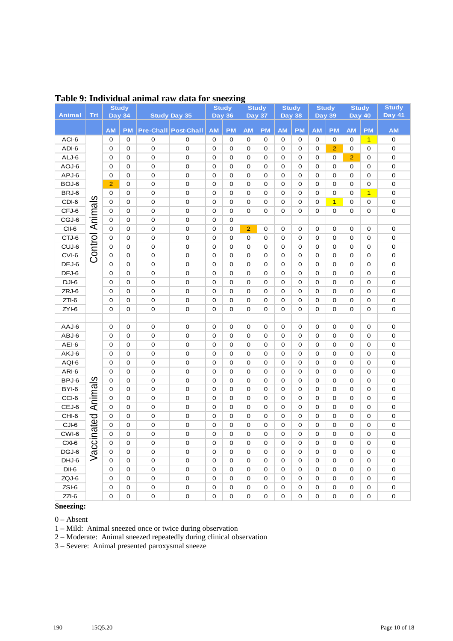|                |            |                | <b>Study</b> |                            |                        |             | <b>Study</b> |                            | <b>Study</b>        |               | <b>Study</b>               | <b>Study</b>  |                  |                  | <b>Study</b>             | <b>Study</b>     |
|----------------|------------|----------------|--------------|----------------------------|------------------------|-------------|--------------|----------------------------|---------------------|---------------|----------------------------|---------------|------------------|------------------|--------------------------|------------------|
| Animal         | <b>Trt</b> | <b>Day 34</b>  |              |                            | <b>Study Day 35</b>    | Day 36      |              |                            | <b>Day 37</b>       | <b>Day 38</b> |                            | <b>Day 39</b> |                  | <b>Day 40</b>    |                          | Day 41           |
|                |            | <b>AM</b>      | <b>PM</b>    |                            | Pre-Chall Post-Chall   | <b>AM</b>   | <b>PM</b>    | <b>AM</b>                  | PM                  | <b>AM</b>     | <b>PM</b>                  | <b>AM</b>     | <b>PM</b>        | <b>AM</b>        | <b>PM</b>                | <b>AM</b>        |
| ACI-6          |            | 0              | 0            | 0                          | 0                      | $\mathbf 0$ | 0            | 0                          | 0                   | 0             | 0                          | 0             | 0                | 0                | $\mathbf{1}$             | 0                |
| ADI-6          |            | 0              | 0            | 0                          | 0                      | 0           | 0            | 0                          | 0                   | 0             | 0                          | 0             | $\overline{2}$   | 0                | $\mathsf{O}\xspace$      | 0                |
| ALJ-6          |            | 0              | 0            | 0                          | 0                      | 0           | 0            | $\mathbf 0$                | 0                   | 0             | 0                          | 0             | 0                | $\overline{2}$   | 0                        | 0                |
| AOJ-6          |            | 0              | 0            | 0                          | 0                      | 0           | 0            | 0                          | 0                   | 0             | 0                          | 0             | 0                | 0                | 0                        | 0                |
| APJ-6          |            | $\mathbf 0$    | $\mathbf 0$  | 0                          | $\mathbf 0$            | 0           | 0            | $\mathbf 0$                | 0                   | 0             | $\mathbf 0$                | 0             | 0                | $\mathbf 0$      | 0                        | 0                |
| BOJ-6          |            | $\overline{2}$ | $\mathbf 0$  | 0                          | $\mathbf 0$            | 0           | 0            | $\mathbf 0$                | 0                   | 0             | $\mathbf 0$                | 0             | 0                | $\mathbf 0$      | 0                        | 0                |
| BRJ-6          |            | 0              | 0            | 0                          | $\pmb{0}$              | 0           | 0            | $\mathbf 0$                | 0                   | 0             | 0                          | 0             | 0                | $\mathbf 0$      | $\overline{1}$           | 0                |
| CDI-6          | Animals    | 0              | 0            | 0                          | $\mathbf 0$            | 0           | $\mathbf 0$  | $\mathbf 0$                | 0                   | 0             | $\mathbf 0$                | 0             | $\overline{1}$   | 0                | $\mathsf{O}\xspace$      | 0                |
| CFJ-6          |            | 0              | 0            | $\mathbf 0$                | $\mathbf 0$            | 0           | $\mathbf 0$  | 0                          | 0                   | 0             | $\mathbf 0$                | 0             | 0                | 0                | 0                        | 0                |
| CGJ-6          |            | 0              | 0            | 0                          | $\pmb{0}$              | 0           | 0            |                            |                     |               |                            |               |                  |                  |                          |                  |
| CII-6          |            | 0              | 0            | 0                          | 0                      | 0           | $\mathbf 0$  | $\overline{2}$             | 0                   | 0             | $\mathbf 0$                | 0             | 0                | 0                | 0                        | 0                |
| CTJ-6          | Control    | 0              | 0            | 0                          | $\pmb{0}$              | 0           | 0            | 0                          | 0                   | 0             | $\mathbf 0$                | 0             | 0                | 0                | 0                        | 0                |
| CUJ-6          |            | 0              | 0            | $\pmb{0}$                  | $\pmb{0}$              | 0           | 0            | $\mathbf 0$                | 0                   | 0             | 0                          | 0             | 0                | 0                | 0                        | 0                |
| CVI-6          |            | 0              | 0            | 0                          | $\pmb{0}$              | 0           | 0            | $\mathbf 0$                | 0                   | 0             | 0                          | 0             | 0                | 0                | 0                        | 0                |
| DEJ-6          |            | 0              | 0            | 0                          | 0                      | 0           | 0            | $\mathbf 0$                | 0                   | 0             | $\mathbf 0$                | 0             | 0                | $\mathbf 0$      | 0                        | 0                |
| DFJ-6          |            | 0              | 0            | 0                          | 0                      | 0           | 0            | $\mathbf 0$                | 0                   | 0             | $\mathbf 0$                | 0             | 0                | 0                | 0                        | 0                |
| DJI-6          |            | 0              | $\mathbf 0$  | 0                          | 0                      | 0           | 0            | $\mathbf 0$                | 0                   | 0             | $\mathbf 0$                | 0             | $\mathbf 0$      | 0                | 0                        | 0                |
| ZRJ-6          |            | 0              | 0            | 0                          | $\pmb{0}$              | 0           | 0            | 0                          | 0                   | 0             | 0                          | 0             | 0                | 0                | 0                        | 0                |
| $ZTI-6$        |            | $\mathbf 0$    | $\mathbf 0$  | $\mathbf 0$                | $\mathbf 0$            | 0           | 0            | 0                          | 0                   | 0             | $\mathbf 0$                | 0             | 0                | $\mathbf 0$      | 0                        | 0                |
| ZYI-6          |            | $\mathbf 0$    | $\mathbf 0$  | 0                          | $\mathsf{O}\xspace$    | 0           | 0            | 0                          | 0                   | 0             | $\mathbf 0$                | 0             | 0                | 0                | 0                        | 0                |
|                |            |                |              |                            |                        |             |              |                            |                     |               |                            |               |                  |                  |                          |                  |
| AAJ-6          |            | 0              | 0            | $\mathbf 0$                | 0                      | 0           | 0            | 0                          | 0                   | 0             | $\mathbf 0$                | 0             | 0                | 0                | $\mathbf 0$              | 0                |
| ABJ-6          |            | 0              | 0            | 0                          | $\mathsf{O}\xspace$    | 0           | 0            | 0                          | 0                   | 0             | 0                          | 0             | 0                | 0                | 0                        | 0                |
| AEI-6          |            | 0              | 0            | 0                          | $\pmb{0}$              | 0           | 0            | $\mathbf 0$                | 0                   | 0             | 0                          | 0             | 0                | 0                | 0                        | 0                |
| AKJ-6          |            | 0              | $\mathbf 0$  | 0                          | 0                      | 0           | 0            | $\mathbf 0$                | 0                   | 0             | $\mathbf 0$                | 0             | 0                | $\mathbf 0$      | 0                        | 0                |
| AQI-6          |            | 0              | 0            | 0                          | $\pmb{0}$              | 0           | 0            | $\mathbf 0$                | 0                   | 0             | $\mathbf 0$                | 0             | 0                | 0                | 0                        | 0                |
| ARI-6          |            | 0              | $\mathbf 0$  | 0                          | $\mathbf 0$            | 0           | $\mathbf 0$  | $\mathbf 0$                | 0                   | 0             | $\mathbf 0$                | 0             | 0                | 0                | 0                        | 0                |
| BPJ-6          | Animals    | 0              | 0            | $\mathbf 0$                | $\pmb{0}$              | 0           | $\mathbf 0$  | $\mathbf 0$                | 0                   | 0             | $\mathbf 0$                | 0             | $\mathbf 0$      | 0                | 0                        | 0                |
| BYI-6          |            | 0              | 0            | $\mathbf 0$                | $\pmb{0}$              | 0           | $\mathbf 0$  | $\mathbf 0$                | $\mathbf 0$         | 0             | $\mathbf 0$                | 0             | 0                | 0                | 0                        | 0                |
| CCI-6<br>CEJ-6 |            | 0              | 0            | $\mathbf 0$                | $\pmb{0}$              | 0           | $\mathbf 0$  | $\mathbf 0$                | 0<br>$\mathbf 0$    | 0             | $\mathbf 0$                | 0             | 0                | 0                | 0                        | 0<br>$\mathbf 0$ |
| CHI-6          |            | 0<br>0         | 0<br>0       | $\mathbf 0$<br>$\mathbf 0$ | $\pmb{0}$<br>$\pmb{0}$ | 0<br>0      | 0<br>0       | $\mathbf 0$<br>$\mathbf 0$ | $\mathbf 0$         | 0<br>0        | $\mathbf 0$<br>$\mathbf 0$ | 0<br>0        | 0<br>$\mathbf 0$ | 0<br>$\mathbf 0$ | 0<br>$\mathsf{O}\xspace$ | 0                |
| CJI-6          |            | 0              | 0            | $\pmb{0}$                  | $\pmb{0}$              | 0           | 0            | 0                          | $\mathsf{O}\xspace$ | 0             | 0                          | 0             | 0                | 0                | 0                        | 0                |
| CWI-6          | inated     | $\mathbf 0$    | 0            | 0                          | 0                      | 0           | 0            | $\mathbf 0$                | 0                   | 0             | 0                          | 0             | $\mathbf 0$      | 0                | 0                        | 0                |
| CXI-6          | <br>ت      | 0              | 0            | 0                          | 0                      | 0           | 0            | 0                          | 0                   | 0             | 0                          | 0             | 0                | 0                | 0                        | 0                |
| DGJ-6          | ಠ್ರ        | 0              | 0            | 0                          | 0                      | 0           | 0            | 0                          | 0                   | 0             | 0                          | 0             | 0                | 0                | 0                        | 0                |
| DHJ-6          | $\,>$      | 0              | 0            | 0                          | 0                      | 0           | 0            | 0                          | 0                   | 0             | 0                          | 0             | 0                | 0                | 0                        | 0                |
| $DII-6$        |            | 0              | 0            | 0                          | 0                      | 0           | 0            | 0                          | 0                   | 0             | 0                          | 0             | 0                | 0                | 0                        | 0                |
| ZQJ-6          |            | 0              | 0            | 0                          | 0                      | 0           | 0            | 0                          | 0                   | 0             | 0                          | 0             | 0                | 0                | 0                        | 0                |
| ZSI-6          |            | 0              | 0            | $\mathsf{O}\xspace$        | 0                      | 0           | 0            | 0                          | 0                   | 0             | 0                          | 0             | 0                | 0                | 0                        | 0                |
| $ZZI-6$        |            | 0              | 0            | 0                          | 0                      | 0           | 0            | $\mathbf 0$                | 0                   | 0             | 0                          | 0             | 0                | 0                | 0                        | $\mathsf 0$      |
|                |            |                |              |                            |                        |             |              |                            |                     |               |                            |               |                  |                  |                          |                  |

### **Table 9: Individual animal raw data for sneezing**

**Sneezing:**

0 – Absent

1 – Mild: Animal sneezed once or twice during observation

2 – Moderate: Animal sneezed repeatedly during clinical observation

3 – Severe: Animal presented paroxysmal sneeze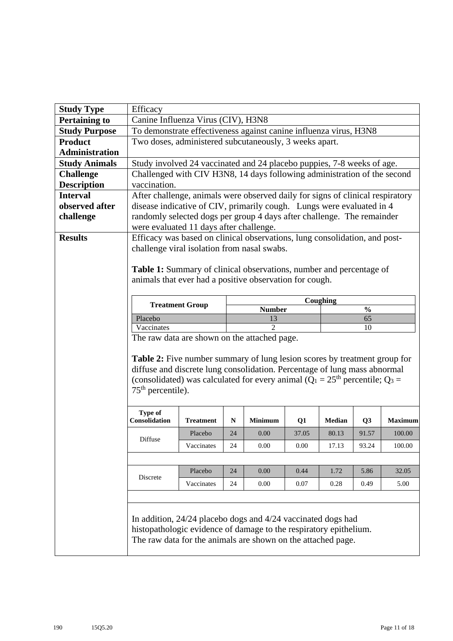| <b>Study Type</b>     | Efficacy                                                                                                                                                                                                                                                                  |                                                                                                         |           |                |          |               |                |                |  |  |  |  |  |  |  |
|-----------------------|---------------------------------------------------------------------------------------------------------------------------------------------------------------------------------------------------------------------------------------------------------------------------|---------------------------------------------------------------------------------------------------------|-----------|----------------|----------|---------------|----------------|----------------|--|--|--|--|--|--|--|
| <b>Pertaining to</b>  |                                                                                                                                                                                                                                                                           | Canine Influenza Virus (CIV), H3N8<br>To demonstrate effectiveness against canine influenza virus, H3N8 |           |                |          |               |                |                |  |  |  |  |  |  |  |
| <b>Study Purpose</b>  |                                                                                                                                                                                                                                                                           | Two doses, administered subcutaneously, 3 weeks apart.                                                  |           |                |          |               |                |                |  |  |  |  |  |  |  |
| <b>Product</b>        |                                                                                                                                                                                                                                                                           |                                                                                                         |           |                |          |               |                |                |  |  |  |  |  |  |  |
| <b>Administration</b> |                                                                                                                                                                                                                                                                           |                                                                                                         |           |                |          |               |                |                |  |  |  |  |  |  |  |
| <b>Study Animals</b>  | Study involved 24 vaccinated and 24 placebo puppies, 7-8 weeks of age.                                                                                                                                                                                                    |                                                                                                         |           |                |          |               |                |                |  |  |  |  |  |  |  |
| <b>Challenge</b>      | Challenged with CIV H3N8, 14 days following administration of the second                                                                                                                                                                                                  |                                                                                                         |           |                |          |               |                |                |  |  |  |  |  |  |  |
| <b>Description</b>    | vaccination.                                                                                                                                                                                                                                                              |                                                                                                         |           |                |          |               |                |                |  |  |  |  |  |  |  |
| <b>Interval</b>       | After challenge, animals were observed daily for signs of clinical respiratory                                                                                                                                                                                            |                                                                                                         |           |                |          |               |                |                |  |  |  |  |  |  |  |
| observed after        | disease indicative of CIV, primarily cough. Lungs were evaluated in 4                                                                                                                                                                                                     |                                                                                                         |           |                |          |               |                |                |  |  |  |  |  |  |  |
| challenge             | randomly selected dogs per group 4 days after challenge. The remainder                                                                                                                                                                                                    |                                                                                                         |           |                |          |               |                |                |  |  |  |  |  |  |  |
|                       | were evaluated 11 days after challenge.                                                                                                                                                                                                                                   |                                                                                                         |           |                |          |               |                |                |  |  |  |  |  |  |  |
| <b>Results</b>        | Efficacy was based on clinical observations, lung consolidation, and post-                                                                                                                                                                                                |                                                                                                         |           |                |          |               |                |                |  |  |  |  |  |  |  |
|                       | challenge viral isolation from nasal swabs.                                                                                                                                                                                                                               |                                                                                                         |           |                |          |               |                |                |  |  |  |  |  |  |  |
|                       |                                                                                                                                                                                                                                                                           | <b>Table 1:</b> Summary of clinical observations, number and percentage of                              |           |                |          |               |                |                |  |  |  |  |  |  |  |
|                       |                                                                                                                                                                                                                                                                           | animals that ever had a positive observation for cough.                                                 |           |                |          |               |                |                |  |  |  |  |  |  |  |
|                       |                                                                                                                                                                                                                                                                           |                                                                                                         |           |                |          |               |                |                |  |  |  |  |  |  |  |
|                       |                                                                                                                                                                                                                                                                           | Coughing<br><b>Treatment Group</b><br><b>Number</b><br>$\frac{0}{0}$                                    |           |                |          |               |                |                |  |  |  |  |  |  |  |
|                       |                                                                                                                                                                                                                                                                           | 13<br>65                                                                                                |           |                |          |               |                |                |  |  |  |  |  |  |  |
|                       | Placebo                                                                                                                                                                                                                                                                   |                                                                                                         |           |                |          |               |                |                |  |  |  |  |  |  |  |
|                       | Vaccinates                                                                                                                                                                                                                                                                |                                                                                                         |           | $\overline{2}$ |          |               | 10             |                |  |  |  |  |  |  |  |
|                       | The raw data are shown on the attached page.                                                                                                                                                                                                                              |                                                                                                         |           |                |          |               |                |                |  |  |  |  |  |  |  |
|                       | <b>Table 2:</b> Five number summary of lung lesion scores by treatment group for<br>diffuse and discrete lung consolidation. Percentage of lung mass abnormal<br>(consolidated) was calculated for every animal ( $Q_1 = 25th$ percentile; $Q_3 =$<br>$75th$ percentile). |                                                                                                         |           |                |          |               |                |                |  |  |  |  |  |  |  |
|                       | <b>Type of</b><br>Consolidation                                                                                                                                                                                                                                           | <b>Treatment</b>                                                                                        | ${\bf N}$ | <b>Minimum</b> | Q1       | <b>Median</b> | Q <sub>3</sub> | <b>Maximum</b> |  |  |  |  |  |  |  |
|                       |                                                                                                                                                                                                                                                                           | Placebo                                                                                                 | 24        | 0.00           | 37.05    | 80.13         | 91.57          | 100.00         |  |  |  |  |  |  |  |
|                       | Diffuse                                                                                                                                                                                                                                                                   | Vaccinates                                                                                              | 24        | 0.00           | $0.00\,$ | 17.13         | 93.24          | 100.00         |  |  |  |  |  |  |  |
|                       |                                                                                                                                                                                                                                                                           |                                                                                                         |           |                |          |               |                |                |  |  |  |  |  |  |  |
|                       |                                                                                                                                                                                                                                                                           | Placebo                                                                                                 | 24        | 0.00           | 0.44     | 1.72          | 5.86           | 32.05          |  |  |  |  |  |  |  |
|                       | Discrete                                                                                                                                                                                                                                                                  | Vaccinates                                                                                              | 24        | $0.00\,$       | 0.07     | 0.28          | 0.49           | 5.00           |  |  |  |  |  |  |  |
|                       |                                                                                                                                                                                                                                                                           |                                                                                                         |           |                |          |               |                |                |  |  |  |  |  |  |  |
|                       |                                                                                                                                                                                                                                                                           |                                                                                                         |           |                |          |               |                |                |  |  |  |  |  |  |  |
|                       | In addition, 24/24 placebo dogs and 4/24 vaccinated dogs had<br>histopathologic evidence of damage to the respiratory epithelium.<br>The raw data for the animals are shown on the attached page.                                                                         |                                                                                                         |           |                |          |               |                |                |  |  |  |  |  |  |  |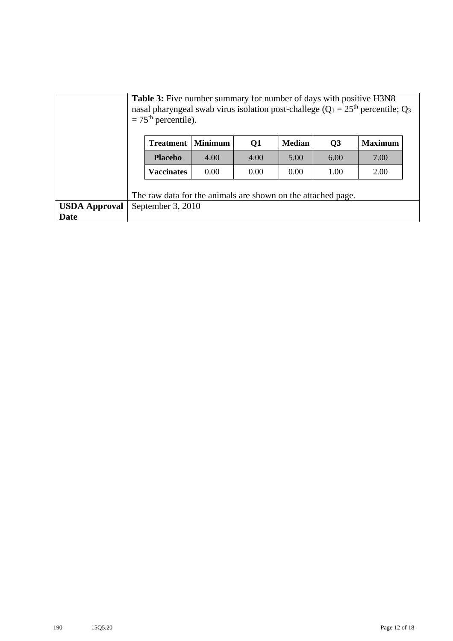|                      | <b>Table 3:</b> Five number summary for number of days with positive H3N8<br>nasal pharyngeal swab virus isolation post-challege ( $Q_1 = 25$ <sup>th</sup> percentile; $Q_3$<br>$=75th$ percentile). |                |      |               |      |                |
|----------------------|-------------------------------------------------------------------------------------------------------------------------------------------------------------------------------------------------------|----------------|------|---------------|------|----------------|
|                      | <b>Treatment</b>                                                                                                                                                                                      | <b>Minimum</b> | Q1   | <b>Median</b> | Q3   | <b>Maximum</b> |
|                      | <b>Placebo</b>                                                                                                                                                                                        | 4.00           | 4.00 | 5.00          | 6.00 | 7.00           |
|                      | <b>Vaccinates</b>                                                                                                                                                                                     | 0.00           | 0.00 | 0.00          | 1.00 | 2.00           |
|                      | The raw data for the animals are shown on the attached page.                                                                                                                                          |                |      |               |      |                |
| <b>USDA Approval</b> | September 3, 2010                                                                                                                                                                                     |                |      |               |      |                |
| <b>Date</b>          |                                                                                                                                                                                                       |                |      |               |      |                |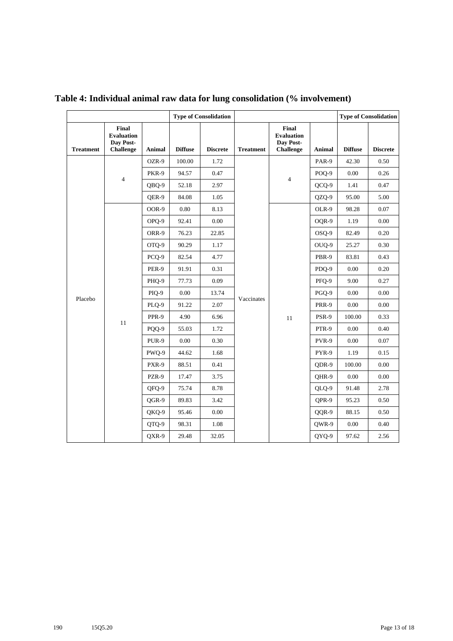|                  |                                                             | <b>Type of Consolidation</b> |                |                 |                  |                                                             | <b>Type of Consolidation</b> |                |                 |
|------------------|-------------------------------------------------------------|------------------------------|----------------|-----------------|------------------|-------------------------------------------------------------|------------------------------|----------------|-----------------|
| <b>Treatment</b> | Final<br><b>Evaluation</b><br>Day Post-<br><b>Challenge</b> | Animal                       | <b>Diffuse</b> | <b>Discrete</b> | <b>Treatment</b> | Final<br><b>Evaluation</b><br>Day Post-<br><b>Challenge</b> | <b>Animal</b>                | <b>Diffuse</b> | <b>Discrete</b> |
|                  |                                                             | OZR-9                        | 100.00         | 1.72            |                  |                                                             | PAR-9                        | 42.30          | 0.50            |
|                  |                                                             | PKR-9                        | 94.57          | 0.47            |                  |                                                             | POQ-9                        | 0.00           | 0.26            |
|                  | $\overline{4}$                                              | QBQ-9                        | 52.18          | 2.97            |                  | $\overline{4}$                                              | QCQ-9                        | 1.41           | 0.47            |
|                  |                                                             | OER-9                        | 84.08          | 1.05            |                  |                                                             | QZQ-9                        | 95.00          | 5.00            |
|                  |                                                             | OOR-9                        | 0.80           | 8.13            |                  |                                                             | OLR-9                        | 98.28          | 0.07            |
|                  |                                                             | OPQ-9                        | 92.41          | 0.00            |                  |                                                             | OQR-9                        | 1.19           | 0.00            |
|                  |                                                             | ORR-9                        | 76.23          | 22.85           |                  |                                                             | OSO-9                        | 82.49          | 0.20            |
|                  |                                                             | OTQ-9                        | 90.29          | 1.17            |                  |                                                             | OUQ-9                        | 25.27          | 0.30            |
|                  |                                                             | PCQ-9                        | 82.54          | 4.77            |                  |                                                             | PBR-9                        | 83.81          | 0.43            |
|                  |                                                             | PER-9                        | 91.91          | 0.31            |                  |                                                             | PDQ-9                        | 0.00           | 0.20            |
|                  |                                                             | PHQ-9                        | 77.73          | 0.09            |                  |                                                             | PFQ-9                        | 9.00           | 0.27            |
| Placebo          |                                                             | PIQ-9                        | 0.00           | 13.74           | Vaccinates       | 11                                                          | PGQ-9                        | 0.00           | 0.00            |
|                  |                                                             | PLQ-9                        | 91.22          | 2.07            |                  |                                                             | PRR-9                        | 0.00           | 0.00            |
|                  |                                                             | PPR-9                        | 4.90           | 6.96            |                  |                                                             | PSR-9                        | 100.00         | 0.33            |
|                  | 11                                                          | PQQ-9                        | 55.03          | 1.72            |                  |                                                             | PTR-9                        | 0.00           | 0.40            |
|                  |                                                             | <b>PUR-9</b>                 | 0.00           | 0.30            |                  |                                                             | PVR-9                        | 0.00           | 0.07            |
|                  |                                                             | PWQ-9                        | 44.62          | 1.68            |                  |                                                             | PYR-9                        | 1.19           | 0.15            |
|                  |                                                             | PXR-9                        | 88.51          | 0.41            |                  |                                                             | ODR-9                        | 100.00         | 0.00            |
|                  |                                                             | PZR-9                        | 17.47          | 3.75            |                  |                                                             | OHR-9                        | 0.00           | 0.00            |
|                  |                                                             | QFQ-9                        | 75.74          | 8.78            |                  |                                                             | QLQ-9                        | 91.48          | 2.78            |
|                  |                                                             | OGR-9                        | 89.83          | 3.42            |                  |                                                             | OPR-9                        | 95.23          | 0.50            |
|                  |                                                             | QKQ-9                        | 95.46          | 0.00            |                  |                                                             | QQR-9                        | 88.15          | 0.50            |
|                  |                                                             | QTQ-9                        | 98.31          | 1.08            |                  |                                                             | QWR-9                        | $0.00\,$       | 0.40            |
|                  |                                                             | QXR-9                        | 29.48          | 32.05           |                  |                                                             | QYQ-9                        | 97.62          | 2.56            |

**Table 4: Individual animal raw data for lung consolidation (% involvement)**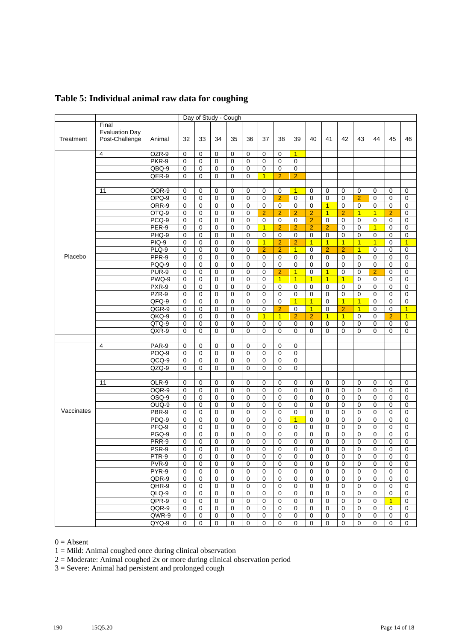|            |                       | Day of Study - Cough |             |             |              |             |                |                |                |                |                |                |                |                |                |                |                |
|------------|-----------------------|----------------------|-------------|-------------|--------------|-------------|----------------|----------------|----------------|----------------|----------------|----------------|----------------|----------------|----------------|----------------|----------------|
|            | Final                 |                      |             |             |              |             |                |                |                |                |                |                |                |                |                |                |                |
|            | <b>Evaluation Day</b> |                      |             |             |              |             |                |                |                |                |                |                |                |                |                |                |                |
| Treatment  | Post-Challenge        | Animal               | 32          | 33          | 34           | 35          | 36             | 37             | 38             | 39             | 40             | 41             | 42             | 43             | 44             | 45             | 46             |
|            |                       |                      |             |             |              |             |                |                |                |                |                |                |                |                |                |                |                |
|            | $\overline{4}$        | OZR-9                | 0           | 0           | 0            | 0           | 0              | 0              | 0              | $\overline{1}$ |                |                |                |                |                |                |                |
|            |                       | PKR-9                | 0           | $\mathbf 0$ | 0            | 0           | $\mathbf 0$    | 0              | $\mathbf 0$    | $\mathbf 0$    |                |                |                |                |                |                |                |
|            |                       | QBQ-9                | $\mathbf 0$ | $\mathbf 0$ | $\mathbf 0$  | $\mathbf 0$ | $\overline{0}$ | 0              | $\mathbf 0$    | $\mathbf 0$    |                |                |                |                |                |                |                |
|            |                       |                      |             |             | $\mathbf{0}$ |             | $\mathbf 0$    |                |                |                |                |                |                |                |                |                |                |
|            |                       | QER-9                | 0           | $\mathbf 0$ |              | $\mathbf 0$ |                | $\overline{1}$ | $\overline{2}$ | $\overline{2}$ |                |                |                |                |                |                |                |
|            |                       |                      |             |             |              |             |                |                |                |                |                |                |                |                |                |                |                |
|            | 11                    | <b>OOR-9</b>         | 0           | 0           | 0            | $\mathbf 0$ | $\mathbf 0$    | 0              | $\mathbf 0$    | $\overline{1}$ | 0              | 0              | $\mathbf 0$    | $\mathbf 0$    | 0              | $\mathbf 0$    | 0              |
|            |                       | OPQ-9                | $\mathbf 0$ | $\mathbf 0$ | 0            | $\mathbf 0$ | $\overline{0}$ | $\mathbf 0$    | $\overline{2}$ | $\mathbf 0$    | $\mathbf 0$    | $\mathbf 0$    | $\mathbf 0$    | $\overline{2}$ | 0              | 0              | $\mathbf 0$    |
|            |                       | ORR-9                | 0           | $\mathbf 0$ | 0            | $\mathbf 0$ | $\mathbf 0$    | 0              | $\mathbf 0$    | 0              | $\mathbf 0$    | $\overline{1}$ | 0              | $\mathbf 0$    | 0              | 0              | 0              |
|            |                       | OTQ-9                | 0           | 0           | 0            | $\mathbf 0$ | $\mathbf 0$    | $\overline{2}$ | $\overline{2}$ | $\overline{2}$ | $\overline{2}$ | $\overline{1}$ | $\overline{2}$ | $\overline{1}$ | $\overline{1}$ | $\overline{2}$ | 0              |
|            |                       | PCQ-9                | 0           | 0           | 0            | 0           | $\mathbf 0$    | 0              | $\mathbf 0$    | 0              | $\overline{2}$ | 0              | $\mathbf 0$    | 0              | 0              | 0              | 0              |
|            |                       | PER-9                | 0           | 0           | 0            | $\mathbf 0$ | $\mathbf 0$    | $\overline{1}$ | $\overline{2}$ | $\overline{2}$ | $\overline{2}$ | $\overline{2}$ | 0              | $\mathbf 0$    | $\overline{1}$ | 0              | 0              |
|            |                       | PHQ-9                | 0           | $\mathbf 0$ | 0            | $\mathbf 0$ | $\mathbf 0$    | $\mathbf 0$    | $\mathbf 0$    | $\mathbf 0$    | $\mathbf 0$    | $\mathbf 0$    | $\mathbf 0$    | 0              | $\mathbf 0$    | 0              | 0              |
|            |                       | $PIQ-9$              | 0           | $\mathbf 0$ | 0            | $\mathbf 0$ | $\mathbf 0$    | $\overline{1}$ | $\overline{2}$ | $\overline{2}$ | $\overline{1}$ | $\overline{1}$ | $\overline{1}$ | $\overline{1}$ | $\overline{1}$ | 0              | $\overline{1}$ |
|            |                       | PLQ-9                | 0           | 0           | 0            | 0           | $\mathbf 0$    | $\overline{2}$ | $\overline{2}$ | $\overline{1}$ | 0              | $\overline{2}$ | $\overline{2}$ | $\overline{1}$ | 0              | 0              | $\mathbf 0$    |
| Placebo    |                       | PPR-9                | $\mathbf 0$ | 0           | 0            | $\mathbf 0$ | $\mathbf 0$    | 0              | $\mathbf 0$    | 0              | 0              | 0              | $\mathbf 0$    | 0              | $\mathbf 0$    | 0              | $\mathbf 0$    |
|            |                       | PQQ-9                | 0           | $\mathbf 0$ | 0            | $\mathbf 0$ | $\mathbf 0$    | 0              | $\mathbf 0$    | $\mathbf 0$    | $\mathbf 0$    | $\mathbf 0$    | $\mathbf 0$    | $\mathbf 0$    | $\mathbf 0$    | $\mathbf 0$    | 0              |
|            |                       | PUR-9                | $\mathbf 0$ | $\mathbf 0$ | 0            | $\mathbf 0$ | $\mathbf 0$    | 0              | $\overline{2}$ | $\overline{1}$ | 0              | $\overline{1}$ | $\mathbf 0$    | $\mathbf 0$    | $\overline{2}$ | $\mathbf 0$    | $\mathbf 0$    |
|            |                       | PWQ-9                | 0           | 0           | 0            | 0           | $\mathbf 0$    | 0              | $\overline{1}$ | $\overline{1}$ | $\overline{1}$ | $\overline{1}$ | $\overline{1}$ | 0              | 0              | 0              | 0              |
|            |                       | PXR-9                | $\mathbf 0$ | $\mathbf 0$ | $\mathbf 0$  | $\mathbf 0$ | $\mathbf 0$    | 0              | $\mathbf 0$    | $\mathbf 0$    | $\mathbf 0$    | 0              | 0              | $\mathbf 0$    | 0              | $\mathbf 0$    | 0              |
|            |                       | $PZR-9$              | $\mathbf 0$ | $\mathbf 0$ | $\Omega$     | $\mathbf 0$ | $\mathbf 0$    | $\mathbf 0$    | $\mathbf 0$    | $\mathbf 0$    | 0              | $\mathbf 0$    | $\Omega$       | $\mathbf 0$    | 0              | $\Omega$       | $\mathbf 0$    |
|            |                       | $QFQ-9$              | 0           | $\mathbf 0$ | 0            | $\mathbf 0$ | $\mathbf 0$    | $\mathbf 0$    | $\mathbf 0$    | $\overline{1}$ | $\overline{1}$ | $\mathbf 0$    | $\overline{1}$ | $\overline{1}$ | 0              | $\mathbf 0$    | $\mathbf 0$    |
|            |                       | QGR-9                | $\mathbf 0$ | $\mathbf 0$ | 0            | $\mathbf 0$ | $\mathbf 0$    | 0              | $\overline{2}$ | $\mathbf 0$    | $\overline{1}$ | $\mathbf 0$    | $\overline{2}$ | $\overline{1}$ | $\mathbf 0$    | $\mathbf 0$    | $\overline{1}$ |
|            |                       | $QKQ-9$              | 0           | 0           | 0            | 0           | $\mathbf 0$    | $\overline{1}$ | $\overline{1}$ | $\overline{2}$ | $\overline{2}$ | $\overline{1}$ | $\overline{1}$ | $\mathbf 0$    | 0              | $\overline{2}$ | $\overline{1}$ |
|            |                       | $QTQ-9$              | $\mathbf 0$ | 0           | 0            | $\mathbf 0$ | $\mathbf 0$    | 0              | $\mathbf 0$    | $\mathbf 0$    | $\mathbf 0$    | 0              | $\mathbf 0$    | 0              | 0              | $\mathbf 0$    | $\mathbf 0$    |
|            |                       | QXR-9                | 0           | $\mathbf 0$ | $\mathbf{0}$ | $\Omega$    | $\mathbf 0$    | $\Omega$       | $\mathbf 0$    | $\Omega$       | $\Omega$       | 0              | $\Omega$       | 0              | 0              | $\Omega$       | $\mathbf 0$    |
|            |                       |                      |             |             |              |             |                |                |                |                |                |                |                |                |                |                |                |
|            | 4                     |                      |             |             |              |             |                |                |                |                |                |                |                |                |                |                |                |
|            |                       | PAR-9<br>$POQ-9$     | 0           | 0           | 0            | 0           | 0              | 0              | 0              | 0              |                |                |                |                |                |                |                |
|            |                       |                      | 0           | 0           | 0            | $\mathbf 0$ | $\mathbf 0$    | 0              | $\mathbf 0$    | $\mathbf 0$    |                |                |                |                |                |                |                |
|            |                       | $QCQ-9$              | 0           | 0           | 0            | 0           | $\mathbf 0$    | 0              | $\mathbf 0$    | $\mathbf 0$    |                |                |                |                |                |                |                |
|            |                       | $QZQ-9$              | 0           | $\Omega$    | $\mathbf{0}$ | $\Omega$    | $\Omega$       | $\Omega$       | $\Omega$       | $\mathbf{0}$   |                |                |                |                |                |                |                |
|            |                       |                      |             |             |              |             |                |                |                |                |                |                |                |                |                |                |                |
|            | 11                    | OLR-9                | 0           | 0           | 0            | 0           | 0              | 0              | 0              | 0              | $\mathbf 0$    | 0              | $\mathbf 0$    | 0              | 0              | $\mathbf 0$    | 0              |
|            |                       | OQR-9                | $\mathbf 0$ | $\mathbf 0$ | 0            | $\mathbf 0$ | $\mathbf 0$    | 0              | $\mathbf 0$    | $\mathbf 0$    | $\mathbf 0$    | $\mathbf 0$    | $\mathbf 0$    | $\mathbf 0$    | $\mathbf 0$    | $\mathbf 0$    | $\mathbf 0$    |
|            |                       | $OSQ-9$              | 0           | $\mathbf 0$ | 0            | $\mathbf 0$ | $\mathbf 0$    | 0              | $\mathbf 0$    | $\mathbf 0$    | 0              | $\mathbf 0$    | $\mathbf 0$    | 0              | 0              | $\mathbf 0$    | $\mathbf 0$    |
|            |                       | $OUQ-9$              | $\mathbf 0$ | $\mathbf 0$ | 0            | $\mathbf 0$ | $\mathbf 0$    | 0              | $\mathbf 0$    | $\mathbf 0$    | $\overline{0}$ | $\mathbf 0$    | $\mathbf 0$    | $\mathbf 0$    | $\mathbf 0$    | $\mathbf 0$    | $\mathbf 0$    |
| Vaccinates |                       | PBR-9                | 0           | 0           | 0            | 0           | $\mathbf 0$    | 0              | $\mathbf 0$    | $\mathbf 0$    | 0              | 0              | $\mathbf 0$    | $\mathbf 0$    | 0              | $\mathbf 0$    | $\mathbf 0$    |
|            |                       | PDQ-9                | $\mathbf 0$ | $\mathbf 0$ | $\mathbf 0$  | $\mathbf 0$ | $\mathbf 0$    | 0              | $\mathbf 0$    | $\overline{1}$ | $\mathbf 0$    | $\mathbf 0$    | $\mathbf 0$    | $\mathbf 0$    | $\mathbf 0$    | $\Omega$       | $\mathbf 0$    |
|            |                       | PFQ-9                | $\mathbf 0$ | 0           | 0            | $\mathbf 0$ | $\mathbf 0$    | 0              | $\mathbf 0$    | $\mathbf 0$    | $\overline{0}$ | $\mathbf 0$    | $\mathbf 0$    | $\overline{0}$ | 0              | $\mathbf 0$    | $\mathbf 0$    |
|            |                       | PGQ-9                | 0           | 0           | 0            | 0           | $\mathbf 0$    | 0              | $\mathbf 0$    | 0              | 0              | 0              | $\mathbf 0$    | 0              | 0              | $\mathbf 0$    | $\mathbf 0$    |
|            |                       | PRR-9                | 0           | 0           | 0            | 0           | $\mathbf 0$    | 0              | 0              | 0              | 0              | 0              | 0              | 0              | 0              | 0              | 0              |
|            |                       | PSR-9                | 0           | $\mathbf 0$ | 0            | $\mathbf 0$ | $\mathbf 0$    | $\mathbf 0$    | 0              | $\Omega$       | 0              | $\mathbf 0$    | $\mathbf{0}$   | 0              | 0              | 0              | 0              |
|            |                       | PTR-9                | 0           | 0           | 0            | 0           | 0              | 0              | 0              | 0              | 0              | 0              | 0              | 0              | 0              | 0              | 0              |
|            |                       | PVR-9                | 0           | $\Omega$    | $\Omega$     | $\mathbf 0$ | $\mathbf 0$    | 0              | $\Omega$       | $\Omega$       | $\Omega$       | $\Omega$       | $\Omega$       | 0              | $\Omega$       | $\Omega$       | $\Omega$       |
|            |                       | PYR-9                | 0           | 0           | 0            | 0           | 0              | 0              | 0              | 0              | 0              | 0              | 0              | 0              | 0              | 0              | 0              |
|            |                       | $QDR-9$              | 0           | 0           | 0            | 0           | 0              | 0              | 0              | 0              | 0              | 0              | $\mathbf 0$    | 0              | 0              | 0              | 0              |
|            |                       | QHR-9                | $\mathbf 0$ | 0           | 0            | 0           | $\mathbf 0$    | $\mathbf 0$    | $\mathbf 0$    | 0              | 0              | $\mathbf 0$    | $\mathbf 0$    | 0              | 0              | $\mathbf 0$    | 0              |
|            |                       | QLQ-9                | 0           | 0           | $\mathbf 0$  | $\mathbf 0$ | $\mathbf 0$    | 0              | $\mathbf 0$    | 0              | $\mathbf 0$    | 0              | $\mathbf 0$    | $\mathbf 0$    | $\mathbf 0$    | 0              | 0              |
|            |                       | QPR-9                | $\mathbf 0$ | $\mathbf 0$ | 0            | $\mathbf 0$ | $\mathbf 0$    | 0              | $\mathbf 0$    | 0              | 0              | 0              | $\mathbf 0$    | $\mathbf 0$    | 0              | $\overline{1}$ | 0              |
|            |                       | QQR-9                | $\mathbf 0$ | 0           | 0            | 0           | $\mathbf 0$    | 0              | $\mathbf 0$    | 0              | 0              | 0              | 0              | 0              | 0              | 0              | 0              |
|            |                       |                      |             |             |              |             |                |                |                |                |                |                |                |                |                |                |                |
|            |                       | QWR-9                | $\mathbf 0$ | 0           | 0            | $\mathbf 0$ | $\mathbf 0$    | 0              | $\mathbf 0$    | 0              | $\mathbf 0$    | 0              | 0              | 0              | 0              | 0              | 0              |
|            |                       | QYQ-9                | $\mathbf 0$ | $\mathbf 0$ | 0            | $\mathbf 0$ | $\mathbf 0$    | 0              | $\mathbf 0$    | 0              | 0              | $\mathbf 0$    | $\mathbf 0$    | 0              | 0              | 0              | $\mathbf 0$    |

## **Table 5: Individual animal raw data for coughing**

 $0 =$  Absent

 $1 =$  Mild: Animal coughed once during clinical observation

2 = Moderate: Animal coughed 2x or more during clinical observation period

3 = Severe: Animal had persistent and prolonged cough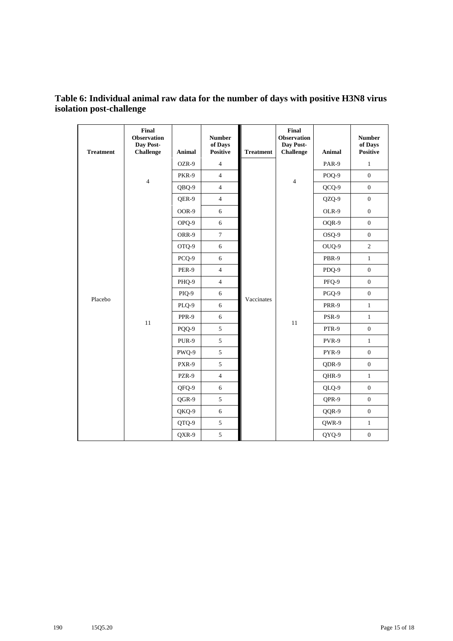## **Table 6: Individual animal raw data for the number of days with positive H3N8 virus isolation post-challenge**

| <b>Treatment</b> | Final<br><b>Observation</b><br>Day Post-<br><b>Challenge</b> | <b>Animal</b> | <b>Number</b><br>of Days<br><b>Positive</b> | <b>Treatment</b> | Final<br><b>Observation</b><br>Day Post-<br>Challenge | <b>Animal</b> | <b>Number</b><br>of Days<br><b>Positive</b> |
|------------------|--------------------------------------------------------------|---------------|---------------------------------------------|------------------|-------------------------------------------------------|---------------|---------------------------------------------|
|                  |                                                              | OZR-9         | $\overline{4}$                              |                  |                                                       | PAR-9         | $\mathbf{1}$                                |
|                  | $\overline{4}$                                               | PKR-9         | $\overline{4}$                              |                  |                                                       | POQ-9         | $\boldsymbol{0}$                            |
|                  |                                                              | QBQ-9         | $\overline{4}$                              |                  | $\overline{4}$                                        | QCQ-9         | $\boldsymbol{0}$                            |
|                  |                                                              | QER-9         | $\overline{4}$                              |                  |                                                       | QZQ-9         | $\boldsymbol{0}$                            |
|                  |                                                              | OOR-9         | 6                                           |                  |                                                       | OLR-9         | $\boldsymbol{0}$                            |
|                  |                                                              | OPQ-9         | 6                                           |                  |                                                       | OQR-9         | $\boldsymbol{0}$                            |
|                  |                                                              | ORR-9         | $\tau$                                      |                  |                                                       | OSQ-9         | $\boldsymbol{0}$                            |
|                  | 11                                                           | OTQ-9         | 6                                           |                  |                                                       | OUQ-9         | $\overline{c}$                              |
|                  |                                                              | PCQ-9         | $\sqrt{6}$                                  |                  |                                                       | PBR-9         | $\,1\,$                                     |
|                  |                                                              | PER-9         | $\overline{4}$                              | Vaccinates       |                                                       | PDQ-9         | $\boldsymbol{0}$                            |
|                  |                                                              | PHQ-9         | $\overline{4}$                              |                  |                                                       | PFQ-9         | $\boldsymbol{0}$                            |
| Placebo          |                                                              | PIQ-9         | 6                                           |                  |                                                       | PGQ-9         | $\boldsymbol{0}$                            |
|                  |                                                              | PLQ-9         | 6                                           |                  |                                                       | <b>PRR-9</b>  | $\mathbf{1}$                                |
|                  |                                                              | PPR-9         | 6                                           |                  | 11                                                    | PSR-9         | $\mathbf{1}$                                |
|                  |                                                              | PQQ-9         | 5                                           |                  |                                                       | PTR-9         | $\mathbf{0}$                                |
|                  |                                                              | PUR-9         | 5                                           |                  |                                                       | PVR-9         | $\mathbf{1}$                                |
|                  |                                                              | PWQ-9         | 5                                           |                  |                                                       | PYR-9         | $\boldsymbol{0}$                            |
|                  |                                                              | PXR-9         | 5                                           |                  |                                                       | QDR-9         | $\boldsymbol{0}$                            |
|                  |                                                              | PZR-9         | $\overline{4}$                              |                  |                                                       | QHR-9         | $\mathbf{1}$                                |
|                  |                                                              | QFQ-9         | 6                                           |                  |                                                       | QLQ-9         | $\boldsymbol{0}$                            |
|                  |                                                              | QGR-9         | 5                                           |                  |                                                       | QPR-9         | $\boldsymbol{0}$                            |
|                  |                                                              | QKQ-9         | 6                                           |                  |                                                       | QQR-9         | $\boldsymbol{0}$                            |
|                  |                                                              | QTQ-9         | 5                                           |                  |                                                       | QWR-9         | $\mathbf{1}$                                |
|                  |                                                              | QXR-9         | $\mathfrak{S}$                              |                  |                                                       | QYQ-9         | $\boldsymbol{0}$                            |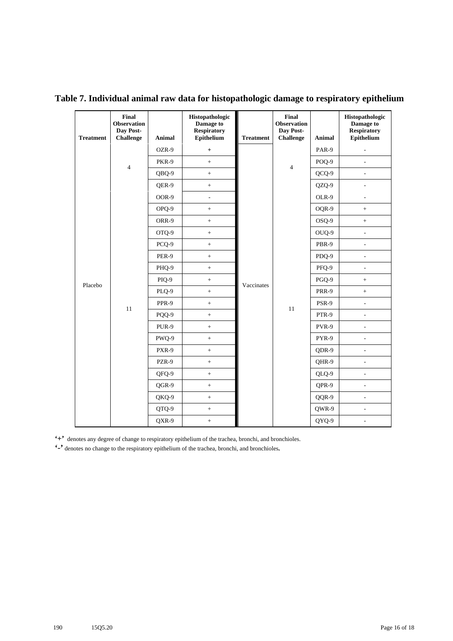| <b>Treatment</b> | <b>Final</b><br><b>Observation</b><br>Day Post-<br><b>Challenge</b> | Animal | Histopathologic<br>Damage to<br><b>Respiratory</b><br>Epithelium | <b>Treatment</b> | <b>Final</b><br><b>Observation</b><br>Day Post-<br><b>Challenge</b> | Animal  | Histopathologic<br>Damage to<br><b>Respiratory</b><br>Epithelium |
|------------------|---------------------------------------------------------------------|--------|------------------------------------------------------------------|------------------|---------------------------------------------------------------------|---------|------------------------------------------------------------------|
|                  |                                                                     | OZR-9  | $\pm$                                                            |                  |                                                                     | PAR-9   | $\overline{a}$                                                   |
|                  | $\overline{4}$                                                      | PKR-9  | $^{+}$                                                           |                  | $\overline{4}$                                                      | POQ-9   | L.                                                               |
|                  |                                                                     | QBQ-9  | $\boldsymbol{+}$                                                 |                  |                                                                     | $OCQ-9$ | $\overline{a}$                                                   |
|                  |                                                                     | QER-9  | $\boldsymbol{+}$                                                 |                  |                                                                     | QZQ-9   |                                                                  |
|                  |                                                                     | OOR-9  | $\overline{\phantom{a}}$                                         |                  |                                                                     | OLR-9   | ٠                                                                |
|                  |                                                                     | OPO-9  | $\boldsymbol{+}$                                                 |                  |                                                                     | OQR-9   | $\ddot{}$                                                        |
|                  |                                                                     | ORR-9  | $+$                                                              |                  |                                                                     | OSQ-9   | $+$                                                              |
|                  |                                                                     | OTQ-9  |                                                                  |                  | 11                                                                  | OUQ-9   | ÷,                                                               |
|                  |                                                                     | PCQ-9  | $\boldsymbol{+}$                                                 | Vaccinates       |                                                                     | PBR-9   | ÷,                                                               |
|                  | 11                                                                  | PER-9  | $^{+}$                                                           |                  |                                                                     | PDQ-9   | $\overline{a}$                                                   |
|                  |                                                                     | PHQ-9  | $^+$                                                             |                  |                                                                     | PFQ-9   | $\overline{\phantom{a}}$                                         |
| Placebo          |                                                                     | PIQ-9  | $^{+}$                                                           |                  |                                                                     | PGQ-9   | $^{+}$                                                           |
|                  |                                                                     | PLQ-9  | $\ddot{}$                                                        |                  |                                                                     | PRR-9   | $\ddot{}$                                                        |
|                  |                                                                     | PPR-9  | $\boldsymbol{+}$                                                 |                  |                                                                     | PSR-9   | $\frac{1}{2}$                                                    |
|                  |                                                                     | PQQ-9  | $^{+}$                                                           |                  |                                                                     | PTR-9   | $\overline{a}$                                                   |
|                  |                                                                     | PUR-9  | $\qquad \qquad +$                                                |                  |                                                                     | PVR-9   | ÷,                                                               |
|                  |                                                                     | PWO-9  | $\pm$                                                            |                  |                                                                     | PYR-9   | $\frac{1}{2}$                                                    |
|                  |                                                                     | PXR-9  | $\boldsymbol{+}$                                                 |                  |                                                                     | QDR-9   | $\overline{a}$                                                   |
|                  |                                                                     | PZR-9  | $\ddot{}$                                                        |                  |                                                                     | QHR-9   | $\overline{a}$                                                   |
|                  |                                                                     | QFQ-9  | $\qquad \qquad +$                                                |                  |                                                                     | QLQ-9   | ÷,                                                               |
|                  |                                                                     | QGR-9  | $^+$                                                             |                  |                                                                     | QPR-9   | $\overline{a}$                                                   |
|                  |                                                                     | QKQ-9  | $\boldsymbol{+}$                                                 |                  |                                                                     | QQR-9   | L,                                                               |
|                  |                                                                     | QTQ-9  | $\pm$                                                            |                  |                                                                     | QWR-9   | $\overline{a}$                                                   |
|                  |                                                                     | QXR-9  | $\,+\,$                                                          |                  |                                                                     | QYQ-9   |                                                                  |

**Table 7. Individual animal raw data for histopathologic damage to respiratory epithelium** 

**'+'** denotes any degree of change to respiratory epithelium of the trachea, bronchi, and bronchioles.

**'-'** denotes no change to the respiratory epithelium of the trachea, bronchi, and bronchioles**.**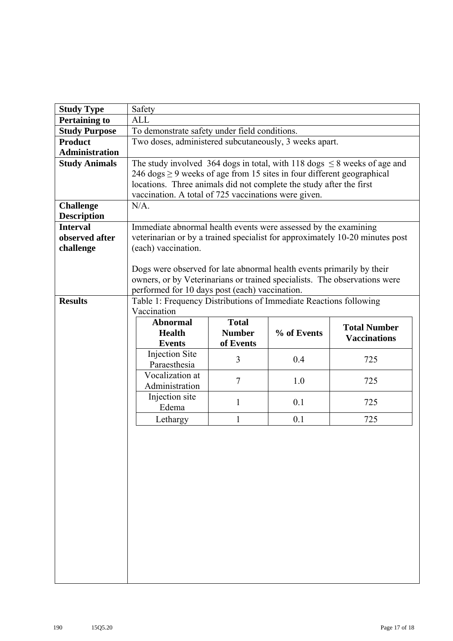| <b>Study Type</b>     | Safety                                                                                                                      |                                                                             |             |                                                                               |  |  |  |  |  |  |  |  |
|-----------------------|-----------------------------------------------------------------------------------------------------------------------------|-----------------------------------------------------------------------------|-------------|-------------------------------------------------------------------------------|--|--|--|--|--|--|--|--|
| <b>Pertaining to</b>  | <b>ALL</b>                                                                                                                  |                                                                             |             |                                                                               |  |  |  |  |  |  |  |  |
| <b>Study Purpose</b>  | To demonstrate safety under field conditions.                                                                               |                                                                             |             |                                                                               |  |  |  |  |  |  |  |  |
| <b>Product</b>        | Two doses, administered subcutaneously, 3 weeks apart.                                                                      |                                                                             |             |                                                                               |  |  |  |  |  |  |  |  |
| <b>Administration</b> |                                                                                                                             |                                                                             |             |                                                                               |  |  |  |  |  |  |  |  |
| <b>Study Animals</b>  |                                                                                                                             |                                                                             |             | The study involved 364 dogs in total, with 118 dogs $\leq$ 8 weeks of age and |  |  |  |  |  |  |  |  |
|                       |                                                                                                                             | 246 dogs $\geq$ 9 weeks of age from 15 sites in four different geographical |             |                                                                               |  |  |  |  |  |  |  |  |
|                       |                                                                                                                             | locations. Three animals did not complete the study after the first         |             |                                                                               |  |  |  |  |  |  |  |  |
|                       |                                                                                                                             | vaccination. A total of 725 vaccinations were given.                        |             |                                                                               |  |  |  |  |  |  |  |  |
| <b>Challenge</b>      | $N/A$ .                                                                                                                     |                                                                             |             |                                                                               |  |  |  |  |  |  |  |  |
| <b>Description</b>    |                                                                                                                             |                                                                             |             |                                                                               |  |  |  |  |  |  |  |  |
| <b>Interval</b>       | Immediate abnormal health events were assessed by the examining                                                             |                                                                             |             |                                                                               |  |  |  |  |  |  |  |  |
| observed after        |                                                                                                                             |                                                                             |             | veterinarian or by a trained specialist for approximately 10-20 minutes post  |  |  |  |  |  |  |  |  |
| challenge             | (each) vaccination.                                                                                                         |                                                                             |             |                                                                               |  |  |  |  |  |  |  |  |
|                       | Dogs were observed for late abnormal health events primarily by their                                                       |                                                                             |             |                                                                               |  |  |  |  |  |  |  |  |
|                       |                                                                                                                             |                                                                             |             |                                                                               |  |  |  |  |  |  |  |  |
|                       | owners, or by Veterinarians or trained specialists. The observations were<br>performed for 10 days post (each) vaccination. |                                                                             |             |                                                                               |  |  |  |  |  |  |  |  |
| <b>Results</b>        | Table 1: Frequency Distributions of Immediate Reactions following                                                           |                                                                             |             |                                                                               |  |  |  |  |  |  |  |  |
|                       | Vaccination                                                                                                                 |                                                                             |             |                                                                               |  |  |  |  |  |  |  |  |
|                       | <b>Abnormal</b>                                                                                                             | <b>Total</b>                                                                |             |                                                                               |  |  |  |  |  |  |  |  |
|                       | <b>Health</b>                                                                                                               | <b>Number</b>                                                               | % of Events | <b>Total Number</b>                                                           |  |  |  |  |  |  |  |  |
|                       | <b>Events</b>                                                                                                               | of Events                                                                   |             | <b>Vaccinations</b>                                                           |  |  |  |  |  |  |  |  |
|                       | Injection Site                                                                                                              | 3                                                                           | 0.4         | 725                                                                           |  |  |  |  |  |  |  |  |
|                       | Paraesthesia                                                                                                                |                                                                             |             |                                                                               |  |  |  |  |  |  |  |  |
|                       | Vocalization at                                                                                                             | $\overline{7}$                                                              | 1.0         | 725                                                                           |  |  |  |  |  |  |  |  |
|                       | Administration                                                                                                              |                                                                             |             |                                                                               |  |  |  |  |  |  |  |  |
|                       | Injection site                                                                                                              | $\mathbf{1}$                                                                | 0.1         | 725                                                                           |  |  |  |  |  |  |  |  |
|                       | Edema                                                                                                                       |                                                                             |             |                                                                               |  |  |  |  |  |  |  |  |
|                       | Lethargy                                                                                                                    | 1                                                                           | 0.1         | 725                                                                           |  |  |  |  |  |  |  |  |
|                       |                                                                                                                             |                                                                             |             |                                                                               |  |  |  |  |  |  |  |  |
|                       |                                                                                                                             |                                                                             |             |                                                                               |  |  |  |  |  |  |  |  |
|                       |                                                                                                                             |                                                                             |             |                                                                               |  |  |  |  |  |  |  |  |
|                       |                                                                                                                             |                                                                             |             |                                                                               |  |  |  |  |  |  |  |  |
|                       |                                                                                                                             |                                                                             |             |                                                                               |  |  |  |  |  |  |  |  |
|                       |                                                                                                                             |                                                                             |             |                                                                               |  |  |  |  |  |  |  |  |
|                       |                                                                                                                             |                                                                             |             |                                                                               |  |  |  |  |  |  |  |  |
|                       |                                                                                                                             |                                                                             |             |                                                                               |  |  |  |  |  |  |  |  |
|                       |                                                                                                                             |                                                                             |             |                                                                               |  |  |  |  |  |  |  |  |
|                       |                                                                                                                             |                                                                             |             |                                                                               |  |  |  |  |  |  |  |  |
|                       |                                                                                                                             |                                                                             |             |                                                                               |  |  |  |  |  |  |  |  |
|                       |                                                                                                                             |                                                                             |             |                                                                               |  |  |  |  |  |  |  |  |
|                       |                                                                                                                             |                                                                             |             |                                                                               |  |  |  |  |  |  |  |  |
|                       |                                                                                                                             |                                                                             |             |                                                                               |  |  |  |  |  |  |  |  |